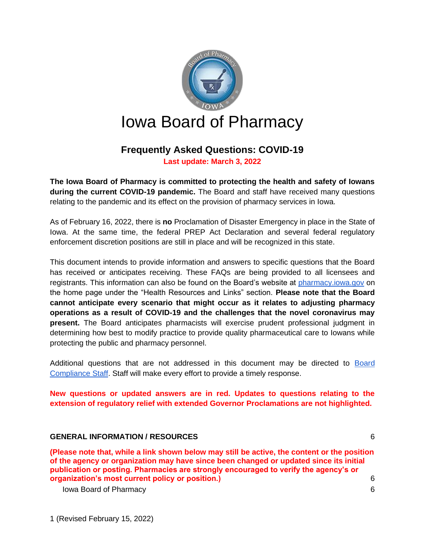

# **Frequently Asked Questions: COVID-19 Last update: March 3, 2022**

**The Iowa Board of Pharmacy is committed to protecting the health and safety of Iowans during the current COVID-19 pandemic.** The Board and staff have received many questions relating to the pandemic and its effect on the provision of pharmacy services in Iowa.

As of February 16, 2022, there is **no** Proclamation of Disaster Emergency in place in the State of Iowa. At the same time, the federal PREP Act Declaration and several federal regulatory enforcement discretion positions are still in place and will be recognized in this state.

This document intends to provide information and answers to specific questions that the Board has received or anticipates receiving. These FAQs are being provided to all licensees and registrants. This information can also be found on the Board's website at [pharmacy.iowa.gov](https://pharmacy.iowa.gov/) on the home page under the "Health Resources and Links" section. **Please note that the Board cannot anticipate every scenario that might occur as it relates to adjusting pharmacy operations as a result of COVID-19 and the challenges that the novel coronavirus may present.** The Board anticipates pharmacists will exercise prudent professional judgment in determining how best to modify practice to provide quality pharmaceutical care to Iowans while protecting the public and pharmacy personnel.

Additional questions that are not addressed in this document may be directed to [Board](https://pharmacy.iowa.gov/contact-us/board-compliance-officers)  [Compliance](https://pharmacy.iowa.gov/contact-us/board-compliance-officers) Staff. Staff will make every effort to provide a timely response.

**New questions or updated answers are in red. Updates to questions relating to the extension of regulatory relief with extended Governor Proclamations are not highlighted.**

#### **[GENERAL INFORMATION / RESOURCES](#page-5-0)** 6

**[\(Please note that, while a link shown below may still be active, the content or the position](#page-5-1)  [of the agency or organization may have since been changed or updated since its initial](#page-5-1)  [publication or posting. Pharmacies are strongly encouraged to verify the agency's or](#page-5-1)  [organization's most current policy or position.\)](#page-5-1)** 6

[Iowa Board of Pharmacy](#page-5-2) 6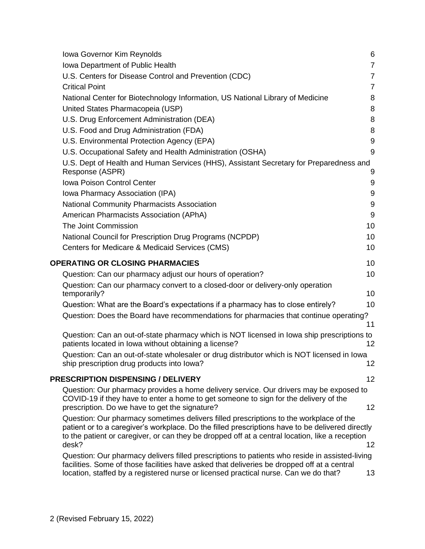| <b>Iowa Governor Kim Reynolds</b>                                                                                                                                                                                                                                                                      | 6               |
|--------------------------------------------------------------------------------------------------------------------------------------------------------------------------------------------------------------------------------------------------------------------------------------------------------|-----------------|
| Iowa Department of Public Health                                                                                                                                                                                                                                                                       | $\overline{7}$  |
| U.S. Centers for Disease Control and Prevention (CDC)                                                                                                                                                                                                                                                  | $\overline{7}$  |
| <b>Critical Point</b>                                                                                                                                                                                                                                                                                  | $\overline{7}$  |
| National Center for Biotechnology Information, US National Library of Medicine                                                                                                                                                                                                                         | 8               |
| United States Pharmacopeia (USP)                                                                                                                                                                                                                                                                       | 8               |
| U.S. Drug Enforcement Administration (DEA)                                                                                                                                                                                                                                                             | 8               |
| U.S. Food and Drug Administration (FDA)                                                                                                                                                                                                                                                                | 8               |
| U.S. Environmental Protection Agency (EPA)                                                                                                                                                                                                                                                             | $9\,$           |
| U.S. Occupational Safety and Health Administration (OSHA)                                                                                                                                                                                                                                              | 9               |
| U.S. Dept of Health and Human Services (HHS), Assistant Secretary for Preparedness and<br>Response (ASPR)                                                                                                                                                                                              | 9               |
| <b>Iowa Poison Control Center</b>                                                                                                                                                                                                                                                                      | 9               |
| Iowa Pharmacy Association (IPA)                                                                                                                                                                                                                                                                        | 9               |
| National Community Pharmacists Association                                                                                                                                                                                                                                                             | 9               |
| American Pharmacists Association (APhA)                                                                                                                                                                                                                                                                | 9               |
| The Joint Commission                                                                                                                                                                                                                                                                                   | 10              |
| National Council for Prescription Drug Programs (NCPDP)                                                                                                                                                                                                                                                | 10              |
| Centers for Medicare & Medicaid Services (CMS)                                                                                                                                                                                                                                                         | 10              |
| <b>OPERATING OR CLOSING PHARMACIES</b>                                                                                                                                                                                                                                                                 | 10              |
| Question: Can our pharmacy adjust our hours of operation?                                                                                                                                                                                                                                              | 10              |
| Question: Can our pharmacy convert to a closed-door or delivery-only operation<br>temporarily?                                                                                                                                                                                                         | 10              |
| Question: What are the Board's expectations if a pharmacy has to close entirely?                                                                                                                                                                                                                       | 10              |
| Question: Does the Board have recommendations for pharmacies that continue operating?                                                                                                                                                                                                                  | 11              |
| Question: Can an out-of-state pharmacy which is NOT licensed in lowa ship prescriptions to<br>patients located in Iowa without obtaining a license?                                                                                                                                                    | 12              |
| Question: Can an out-of-state wholesaler or drug distributor which is NOT licensed in lowa<br>ship prescription drug products into lowa?                                                                                                                                                               | 12              |
| PRESCRIPTION DISPENSING / DELIVERY                                                                                                                                                                                                                                                                     | 12              |
| Question: Our pharmacy provides a home delivery service. Our drivers may be exposed to<br>COVID-19 if they have to enter a home to get someone to sign for the delivery of the<br>prescription. Do we have to get the signature?                                                                       | 12              |
| Question: Our pharmacy sometimes delivers filled prescriptions to the workplace of the<br>patient or to a caregiver's workplace. Do the filled prescriptions have to be delivered directly<br>to the patient or caregiver, or can they be dropped off at a central location, like a reception<br>desk? | 12 <sup>2</sup> |
| Question: Our pharmacy delivers filled prescriptions to patients who reside in assisted-living<br>facilities. Some of those facilities have asked that deliveries be dropped off at a central<br>location, staffed by a registered nurse or licensed practical nurse. Can we do that?                  | 13              |
|                                                                                                                                                                                                                                                                                                        |                 |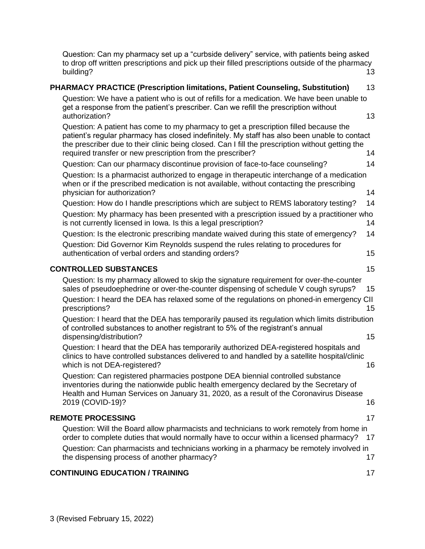[Question: Can my pharmacy set up a "curbside delivery" service, with patients being asked](#page-12-1)  to drop off written [prescriptions and pick up their filled prescriptions outside of the pharmacy](#page-12-1)  [building?](#page-12-1) 13

| PHARMACY PRACTICE (Prescription limitations, Patient Counseling, Substitution)                                                                                                                                                                                                                                                                         | 13       |
|--------------------------------------------------------------------------------------------------------------------------------------------------------------------------------------------------------------------------------------------------------------------------------------------------------------------------------------------------------|----------|
| Question: We have a patient who is out of refills for a medication. We have been unable to<br>get a response from the patient's prescriber. Can we refill the prescription without<br>authorization?                                                                                                                                                   | 13       |
| Question: A patient has come to my pharmacy to get a prescription filled because the<br>patient's regular pharmacy has closed indefinitely. My staff has also been unable to contact<br>the prescriber due to their clinic being closed. Can I fill the prescription without getting the<br>required transfer or new prescription from the prescriber? | 14       |
| Question: Can our pharmacy discontinue provision of face-to-face counseling?                                                                                                                                                                                                                                                                           | 14       |
| Question: Is a pharmacist authorized to engage in therapeutic interchange of a medication<br>when or if the prescribed medication is not available, without contacting the prescribing<br>physician for authorization?                                                                                                                                 | 14       |
| Question: How do I handle prescriptions which are subject to REMS laboratory testing?                                                                                                                                                                                                                                                                  | 14       |
| Question: My pharmacy has been presented with a prescription issued by a practitioner who<br>is not currently licensed in lowa. Is this a legal prescription?                                                                                                                                                                                          | 14       |
| Question: Is the electronic prescribing mandate waived during this state of emergency?<br>Question: Did Governor Kim Reynolds suspend the rules relating to procedures for                                                                                                                                                                             | 14       |
| authentication of verbal orders and standing orders?                                                                                                                                                                                                                                                                                                   | 15       |
| <b>CONTROLLED SUBSTANCES</b>                                                                                                                                                                                                                                                                                                                           | 15       |
| Question: Is my pharmacy allowed to skip the signature requirement for over-the-counter<br>sales of pseudoephedrine or over-the-counter dispensing of schedule V cough syrups?<br>Question: I heard the DEA has relaxed some of the regulations on phoned-in emergency CII<br>prescriptions?                                                           | 15<br>15 |
| Question: I heard that the DEA has temporarily paused its regulation which limits distribution<br>of controlled substances to another registrant to 5% of the registrant's annual<br>dispensing/distribution?                                                                                                                                          | 15       |
| Question: I heard that the DEA has temporarily authorized DEA-registered hospitals and<br>clinics to have controlled substances delivered to and handled by a satellite hospital/clinic<br>which is not DEA-registered?                                                                                                                                | 16       |
| Question: Can registered pharmacies postpone DEA biennial controlled substance<br>inventories during the nationwide public health emergency declared by the Secretary of<br>Health and Human Services on January 31, 2020, as a result of the Coronavirus Disease<br>2019 (COVID-19)?                                                                  | 16       |
| <b>REMOTE PROCESSING</b>                                                                                                                                                                                                                                                                                                                               | 17       |
| Question: Will the Board allow pharmacists and technicians to work remotely from home in<br>order to complete duties that would normally have to occur within a licensed pharmacy?<br>Question: Can pharmacists and technicians working in a pharmacy be remotely involved in<br>the dispensing process of another pharmacy?                           | 17<br>17 |
| <b>CONTINUING EDUCATION / TRAINING</b>                                                                                                                                                                                                                                                                                                                 | 17       |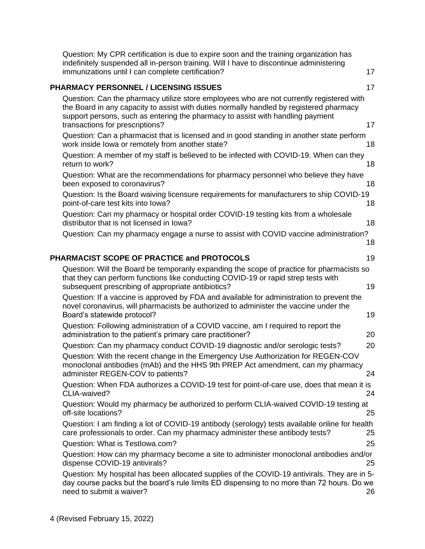| Question: My CPR certification is due to expire soon and the training organization has<br>indefinitely suspended all in-person training. Will I have to discontinue administering<br>immunizations until I can complete certification?                                                                   | 17 |
|----------------------------------------------------------------------------------------------------------------------------------------------------------------------------------------------------------------------------------------------------------------------------------------------------------|----|
| <b>PHARMACY PERSONNEL / LICENSING ISSUES</b>                                                                                                                                                                                                                                                             | 17 |
| Question: Can the pharmacy utilize store employees who are not currently registered with<br>the Board in any capacity to assist with duties normally handled by registered pharmacy<br>support persons, such as entering the pharmacy to assist with handling payment<br>transactions for prescriptions? | 17 |
| Question: Can a pharmacist that is licensed and in good standing in another state perform<br>work inside lowa or remotely from another state?                                                                                                                                                            | 18 |
| Question: A member of my staff is believed to be infected with COVID-19. When can they<br>return to work?                                                                                                                                                                                                | 18 |
| Question: What are the recommendations for pharmacy personnel who believe they have<br>been exposed to coronavirus?                                                                                                                                                                                      | 18 |
| Question: Is the Board waiving licensure requirements for manufacturers to ship COVID-19<br>point-of-care test kits into lowa?                                                                                                                                                                           | 18 |
| Question: Can my pharmacy or hospital order COVID-19 testing kits from a wholesale<br>distributor that is not licensed in lowa?                                                                                                                                                                          | 18 |
| Question: Can my pharmacy engage a nurse to assist with COVID vaccine administration?                                                                                                                                                                                                                    | 18 |
| PHARMACIST SCOPE OF PRACTICE and PROTOCOLS                                                                                                                                                                                                                                                               | 19 |
| Question: Will the Board be temporarily expanding the scope of practice for pharmacists so<br>that they can perform functions like conducting COVID-19 or rapid strep tests with<br>subsequent prescribing of appropriate antibiotics?                                                                   | 19 |
| Question: If a vaccine is approved by FDA and available for administration to prevent the<br>novel coronavirus, will pharmacists be authorized to administer the vaccine under the<br>Board's statewide protocol?                                                                                        | 19 |
| Question: Following administration of a COVID vaccine, am I required to report the<br>administration to the patient's primary care practitioner?                                                                                                                                                         | 20 |
| Question: Can my pharmacy conduct COVID-19 diagnostic and/or serologic tests?                                                                                                                                                                                                                            | 20 |
| Question: With the recent change in the Emergency Use Authorization for REGEN-COV<br>monoclonal antibodies (mAb) and the HHS 9th PREP Act amendment, can my pharmacy<br>administer REGEN-COV to patients?                                                                                                | 24 |
| Question: When FDA authorizes a COVID-19 test for point-of-care use, does that mean it is<br>CLIA-waived?                                                                                                                                                                                                | 24 |
| Question: Would my pharmacy be authorized to perform CLIA-waived COVID-19 testing at<br>off-site locations?                                                                                                                                                                                              | 25 |
| Question: I am finding a lot of COVID-19 antibody (serology) tests available online for health<br>care professionals to order. Can my pharmacy administer these antibody tests?                                                                                                                          | 25 |
| Question: What is Testlowa.com?                                                                                                                                                                                                                                                                          | 25 |
| Question: How can my pharmacy become a site to administer monoclonal antibodies and/or<br>dispense COVID-19 antivirals?                                                                                                                                                                                  | 25 |
| Question: My hospital has been allocated supplies of the COVID-19 antivirals. They are in 5-<br>day course packs but the board's rule limits ED dispensing to no more than 72 hours. Do we<br>need to submit a waiver?                                                                                   | 26 |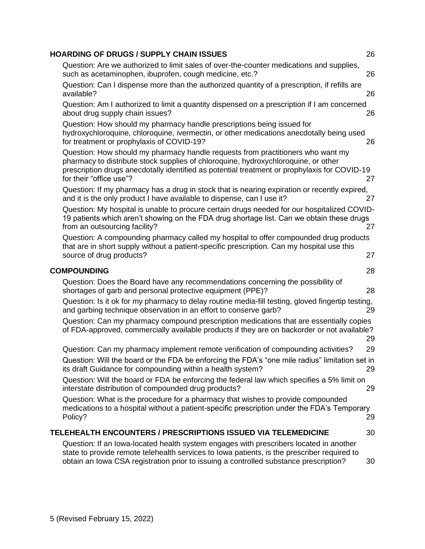| <b>HOARDING OF DRUGS / SUPPLY CHAIN ISSUES</b>                                                                                                                                                                                                                                                   | 26 |
|--------------------------------------------------------------------------------------------------------------------------------------------------------------------------------------------------------------------------------------------------------------------------------------------------|----|
| Question: Are we authorized to limit sales of over-the-counter medications and supplies,<br>such as acetaminophen, ibuprofen, cough medicine, etc.?                                                                                                                                              | 26 |
| Question: Can I dispense more than the authorized quantity of a prescription, if refills are<br>available?                                                                                                                                                                                       | 26 |
| Question: Am I authorized to limit a quantity dispensed on a prescription if I am concerned<br>about drug supply chain issues?                                                                                                                                                                   | 26 |
| Question: How should my pharmacy handle prescriptions being issued for<br>hydroxychloroquine, chloroquine, ivermectin, or other medications anecdotally being used<br>for treatment or prophylaxis of COVID-19?                                                                                  | 26 |
| Question: How should my pharmacy handle requests from practitioners who want my<br>pharmacy to distribute stock supplies of chloroquine, hydroxychloroquine, or other<br>prescription drugs anecdotally identified as potential treatment or prophylaxis for COVID-19<br>for their "office use"? | 27 |
| Question: If my pharmacy has a drug in stock that is nearing expiration or recently expired,<br>and it is the only product I have available to dispense, can I use it?                                                                                                                           | 27 |
| Question: My hospital is unable to procure certain drugs needed for our hospitalized COVID-<br>19 patients which aren't showing on the FDA drug shortage list. Can we obtain these drugs<br>from an outsourcing facility?                                                                        | 27 |
| Question: A compounding pharmacy called my hospital to offer compounded drug products<br>that are in short supply without a patient-specific prescription. Can my hospital use this<br>source of drug products?                                                                                  | 27 |
|                                                                                                                                                                                                                                                                                                  |    |
| <b>COMPOUNDING</b>                                                                                                                                                                                                                                                                               | 28 |
| Question: Does the Board have any recommendations concerning the possibility of<br>shortages of garb and personal protective equipment (PPE)?                                                                                                                                                    | 28 |
| Question: Is it ok for my pharmacy to delay routine media-fill testing, gloved fingertip testing,<br>and garbing technique observation in an effort to conserve garb?                                                                                                                            | 29 |
| Question: Can my pharmacy compound prescription medications that are essentially copies<br>of FDA-approved, commercially available products if they are on backorder or not available?                                                                                                           | 29 |
| Question: Can my pharmacy implement remote verification of compounding activities?                                                                                                                                                                                                               | 29 |
| Question: Will the board or the FDA be enforcing the FDA's "one mile radius" limitation set in<br>its draft Guidance for compounding within a health system?                                                                                                                                     | 29 |
| Question: Will the board or FDA be enforcing the federal law which specifies a 5% limit on<br>interstate distribution of compounded drug products?                                                                                                                                               | 29 |
| Question: What is the procedure for a pharmacy that wishes to provide compounded<br>medications to a hospital without a patient-specific prescription under the FDA's Temporary<br>Policy?                                                                                                       | 29 |
| <b>TELEHEALTH ENCOUNTERS / PRESCRIPTIONS ISSUED VIA TELEMEDICINE</b>                                                                                                                                                                                                                             | 30 |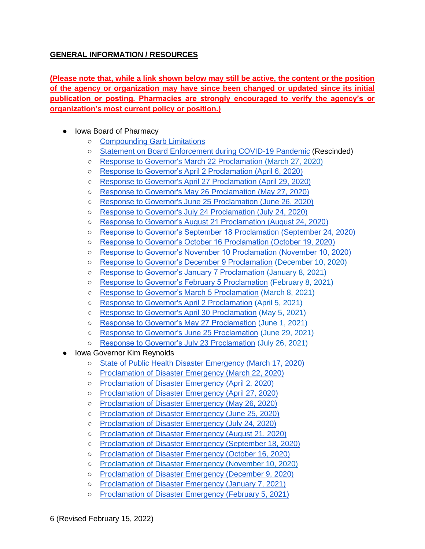## <span id="page-5-0"></span>**GENERAL INFORMATION / RESOURCES**

<span id="page-5-1"></span>**(Please note that, while a link shown below may still be active, the content or the position of the agency or organization may have since been changed or updated since its initial publication or posting. Pharmacies are strongly encouraged to verify the agency's or organization's most current policy or position.)**

- <span id="page-5-2"></span>● Iowa Board of Pharmacy
	- [Compounding Garb Limitations](https://pharmacy.iowa.gov/press-release/2020-03-09/what-should-my-pharmacy-do-if-we-have-limited-supplies-compounding-garb)
	- [Statement on Board Enforcement during COVID-19 Pandemic](https://pharmacy.iowa.gov/sites/default/files/documents/2020/03/bop_statement.pdf) (Rescinded)
	- [Response to Governor's March 22 Proclamation](https://pharmacy.iowa.gov/press-release/2020-03-27/board-pharmacy-response-governors-proclamation) [\(March 27, 2020\)](https://pharmacy.iowa.gov/press-release/2020-03-27/board-pharmacy-response-governors-proclamation)
	- [Response to Governor's April 2 Proclamation \(April 6, 2020\)](https://pharmacy.iowa.gov/sites/default/files/documents/2020/04/board_response_to_proclamation_final.pdf)
	- [Response to Governor's April 27 Proclamation \(April 29, 2020\)](https://pharmacy.iowa.gov/sites/default/files/documents/2020/04/bop_response_to_gov_proc_04272020.pdf)
	- [Response to Governor's May 26 Proclamation \(May 27, 2020\)](https://pharmacy.iowa.gov/press-release/2020-05-27/board-pharmacy-response-governors-proclamation)
	- [Response to Governor's June 25 Proclamation \(June 26, 2020\)](https://pharmacy.iowa.gov/press-release/2020-06-26/board-pharmacy-response-governors-proclamation)
	- [Response to Governor's July 24 Proclamation \(July 24, 2020\)](https://pharmacy.iowa.gov/sites/default/files/documents/2020/07/bop_response_to_072420_proc.pdf)
	- [Response to Governor's August 21 Proclamation \(August 24, 2020\)](https://pharmacy.iowa.gov/press-release/2020-08-24/board-pharmacy-response-governor%E2%80%99s-proclamation)
	- [Response to Governor's September 18](https://pharmacy.iowa.gov/sites/default/files/documents/2020/09/bop_response_to_091820_proclamation.pdf) Proclamation (September 24, 2020)
	- [Response to Governor's October 16 Proclamation \(October 19, 2020\)](https://pharmacy.iowa.gov/sites/default/files/documents/2020/10/bop_response_to_101620.pdf)
	- [Response to Governor's November 10 Proclamation \(November 10, 2020\)](https://pharmacy.iowa.gov/press-release/2020-11-16/board-pharmacy-response-governors-proclamation)
	- [Response to Governor's December 9 Proclamation](https://pharmacy.iowa.gov/sites/default/files/documents/2020/12/board_of_pharmacy_response_to_governors_proclamation_12092020.pdf) (December 10, 2020)
	- [Response to Governor's January 7 Proclamation](https://pharmacy.iowa.gov/sites/default/files/documents/2021/01/bop_response_to_01072021_proclamation.pdf) (January 8, 2021)
	- [Response to Governor's February 5 Proclamation](https://pharmacy.iowa.gov/sites/default/files/documents/2021/02/bop_response_to_02052021_proc.pdf) (February 8, 2021)
	- [Response to Governor's March 5 Proclamation](https://pharmacy.iowa.gov/sites/default/files/documents/2021/03/bop_response_to_030521_proclamation.pdf) (March 8, 2021)
	- [Response to Governor's April 2 Proclamation](https://pharmacy.iowa.gov/sites/default/files/documents/2021/04/bop_response_to_040221_proclamation.pdf) (April 5, 2021)
	- [Response to Governor's April 30 Proclamation](https://pharmacy.iowa.gov/sites/default/files/documents/2021/05/bop_response_to_043021_proclamation.pdf) (May 5, 2021)
	- [Response to Governor's May 27 Proclamation](https://pharmacy.iowa.gov/sites/default/files/documents/2021/06/response_to_governors_proclamation_062021.pdf) (June 1, 2021)
	- [Response to Governor's June 25 Proclamation](https://pharmacy.iowa.gov/sites/default/files/documents/2021/07/bop_response_to_governors_proclamation.pdf) (June 29, 2021)
	- [Response to Governor's July 23 Proclamation](https://pharmacy.iowa.gov/sites/default/files/documents/2021/07/response_to_governors_proclamation_072021.pdf) (July 26, 2021)
- <span id="page-5-3"></span>**Iowa Governor Kim Reynolds** 
	- [State of Public Health Disaster Emergency \(March 17, 2020\)](https://governor.iowa.gov/press-release/gov-reynolds-issues-a-state-of-public-health-disaster-emergency)
	- [Proclamation of Disaster Emergency \(March 22, 2020\)](https://governor.iowa.gov/sites/default/files/documents/Public%20Health%20Proclamation%20-%202020.03.22.pdf)
	- Proclamation [of Disaster Emergency \(April 2, 2020\)](https://governor.iowa.gov/sites/default/files/documents/Public%20Health%20Disaster%20Proclamation%20-%202020.04.02.pdf)
	- [Proclamation of Disaster Emergency \(April 27, 2020\)](https://governor.iowa.gov/press-release/gov-reynolds-signs-new-proclamation-continuing-the-state-public-health-emergency-0)
	- [Proclamation of Disaster Emergency \(May 26, 2020\)](https://governor.iowa.gov/sites/default/files/documents/Public%20Health%20Proclamation%20-%202020.05.26%20%281%29.pdf?utm_medium=email&utm_source=govdelivery)
	- [Proclamation of Disaster Emergency \(June 25, 2020\)](https://governor.iowa.gov/sites/default/files/documents/Public%20Health%20Proclamation%20-%202020.06.25.pdf?utm_medium=email&utm_source=govdelivery)
	- [Proclamation of Disaster Emergency \(July 24, 2020\)](https://governor.iowa.gov/sites/default/files/documents/Public%20Health%20Proclamation%20-%202020.07.24%20%282%29.pdf)
	- [Proclamation of Disaster Emergency \(August 21, 2020\)](https://governor.iowa.gov/sites/default/files/documents/Public%20Health%20Proclamation%20-%202020.08.21.pdf?utm_medium=email&utm_source=govdelivery)
	- [Proclamation of Disaster Emergency \(September 18, 2020\)](https://governor.iowa.gov/sites/default/files/documents/Public%20Health%20Disaster%20Proclamation%20-%202020.09.18.pdf)
	- [Proclamation of Disaster Emergency \(October 16, 2020\)](https://governor.iowa.gov/sites/default/files/documents/Public%20Health%20Proclamation%20-%202020.10.16.pdf)
	- [Proclamation of Disaster Emergency \(November 10, 2020\)](https://governor.iowa.gov/sites/default/files/documents/Public%20Health%20Proclamation%20-%202020.11.10.pdf)
	- [Proclamation of Disaster Emergency \(December 9, 2020\)](https://governor.iowa.gov/sites/default/files/documents/Public%20Health%20Proclamation%20-%202020.12.09.pdf)
	- [Proclamation of Disaster Emergency \(January 7, 2021\)](https://governor.iowa.gov/sites/default/files/documents/Public%20Health%20Proclamation%20-%202021.01.07.pdf)
	- [Proclamation of Disaster Emergency \(February 5, 2021\)](https://governor.iowa.gov/sites/default/files/documents/Public%20Health%20Proclamation%20-%202021.02.05.pdf)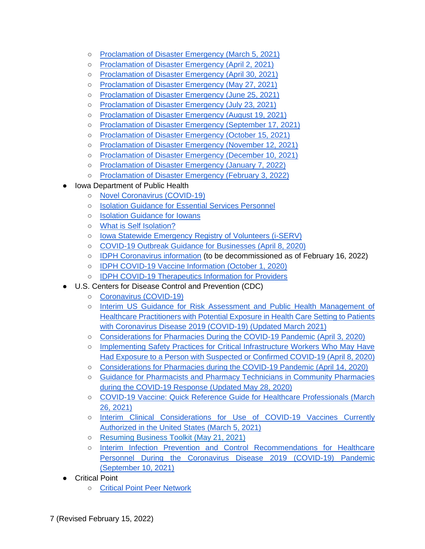- [Proclamation of Disaster Emergency \(March 5, 2021\)](https://governor.iowa.gov/sites/default/files/documents/Public%20Health%20Proclamation%20-%202021.03.05.pdf)
- [Proclamation of Disaster Emergency \(April 2, 2021\)](https://governor.iowa.gov/sites/default/files/documents/PH%20Proclamation%20-%202021.04.02.pdf)
- [Proclamation of Disaster Emergency \(April 30, 2021\)](https://governor.iowa.gov/sites/default/files/documents/Public%20Health%20Proclamation%20-%202021.04.30.pdf)
- [Proclamation of Disaster Emergency \(May 27, 2021\)](https://governor.iowa.gov/sites/default/files/documents/Public%20Health%20Proclamation%20-%202021.05.27.pdf?utm_medium=email&utm_source=govdelivery)
- [Proclamation of Disaster Emergency \(June 25, 2021\)](https://governor.iowa.gov/sites/default/files/documents/COVID%20Disaster%20Proclamation%20-%206.25.2021.pdf?utm_medium=email&utm_source=govdelivery)
- [Proclamation of Disaster Emergency \(July 23, 2021\)](https://governor.iowa.gov/sites/default/files/documents/Public%20Health%20Proclamation%20-%202021.07.23.pdf)
- [Proclamation of Disaster Emergency \(August 19, 2021\)](https://governor.iowa.gov/sites/default/files/documents/Public%20Health%20Proclamation%20-%202021.08.19.pdf)
- [Proclamation of Disaster Emergency \(September 17, 2021\)](https://governor.iowa.gov/sites/default/files/documents/Public%20Health%20Proclamation%20-%202021.09.17_0.pdf)
- [Proclamation of Disaster Emergency \(October 15, 2021\)](https://governor.iowa.gov/sites/default/files/documents/Public%20Health%20Proclamation%20-%202021.10.15.pdf)
- [Proclamation of Disaster Emergency \(November 12, 2021\)](https://governor.iowa.gov/sites/default/files/documents/Public%20Health%20Proclamation%20-%202021.11.12.pdf)
- [Proclamation of Disaster Emergency \(December 10, 2021\)](https://governor.iowa.gov/sites/default/files/documents/Public%20Health%20Proclamation%20-%202021.12.10.pdf)
- [Proclamation of Disaster Emergency \(January 7, 2022\)](https://governor.iowa.gov/sites/default/files/documents/Public%20Health%20Proclamation%20-%202022.01.07.pdf)
- [Proclamation of Disaster Emergency \(February 3, 2022\)](https://governor.iowa.gov/sites/default/files/documents/Public%20Health%20Proclamation%20-%202022.02.03.pdf)
- <span id="page-6-0"></span>**Iowa Department of Public Health** 
	- [Novel Coronavirus \(COVID-19\)](https://idph.iowa.gov/Emerging-Health-Issues/Novel-Coronavirus)
	- [Isolation Guidance for Essential Services Personnel](https://idph.iowa.gov/Portals/1/userfiles/7/3222020UpdatedIsolation%20guidance%20for%20Iowa%20essential%20services%20personnel.pdf)
	- [Isolation Guidance for Iowans](https://idph.iowa.gov/Portals/1/userfiles/7/3_18_20%20Isolation%20guidance%20for%20Iowans.pdf)
	- [What is Self Isolation?](https://idph.iowa.gov/Portals/1/userfiles/7/31820WhatIsSelfIsolation.pdf)
	- [Iowa Statewide Emergency Registry of Volunteers \(i-SERV\)](https://www.iaserv.org/)
	- [COVID-19 Outbreak Guidance for Businesses \(April 8, 2020\)](https://idph.iowa.gov/Portals/1/userfiles/7/Business%20Guidance.pdf)
	- [IDPH Coronavirus information](https://coronavirus.iowa.gov/) (to be decommissioned as of February 16, 2022)
	- [IDPH COVID-19 Vaccine Information \(October 1, 2020\)](https://idph.iowa.gov/Emerging-Health-Issues/Novel-Coronavirus/Vaccine)
	- [IDPH COVID-19 Therapeutics Information for Providers](https://idph.iowa.gov/Emerging-Health-Issues/Novel-Coronavirus/COVID-19-Therapeutics)
- <span id="page-6-1"></span>U.S. Centers for Disease Control and Prevention (CDC)
	- [Coronavirus \(COVID-19\)](https://www.cdc.gov/coronavirus/2019-ncov/index.html)
	- [Interim US Guidance for Risk Assessment and Public Health Management of](https://www.cdc.gov/coronavirus/2019-ncov/hcp/guidance-risk-assesment-hcp.html)  [Healthcare Practitioners with Potential Exposure in Health Care Setting to Patients](https://www.cdc.gov/coronavirus/2019-ncov/hcp/guidance-risk-assesment-hcp.html)  [with Coronavirus Disease 2019 \(COVID-19\) \(Updated March 2021\)](https://www.cdc.gov/coronavirus/2019-ncov/hcp/guidance-risk-assesment-hcp.html)
	- [Considerations for Pharmacies During the COVID-19 Pandemic \(April 3, 2020\)](https://www.cdc.gov/coronavirus/2019-ncov/healthcare-resources/pharmacies.html)
	- Implementing Safety Practices for Critical Infrastructure Workers Who May Have [Had Exposure to a Person with Suspected or Confirmed COVID-19 \(April 8, 2020\)](https://www.cdc.gov/coronavirus/2019-ncov/community/critical-workers/implementing-safety-practices.html)
	- [Considerations for Pharmacies during the COVID-19 Pandemic \(April 14, 2020\)](https://www.cdc.gov/coronavirus/2019-ncov/hcp/pharmacies.html)
	- [Guidance for Pharmacists and Pharmacy Technicians in Community Pharmacies](https://www.cdc.gov/coronavirus/2019-ncov/hcp/pharmacies.html)  [during the COVID-19 Response \(Updated May 28, 2020\)](https://www.cdc.gov/coronavirus/2019-ncov/hcp/pharmacies.html)
	- [COVID-19 Vaccine: Quick Reference Guide for Healthcare Professionals \(March](https://www.cdc.gov/vaccines/covid-19/downloads/covid19-vaccine-quick-reference-guide-2pages.pdf?ACSTrackingID=USCDC_2120-DM53231&ACSTrackingLabel=New%20Reference%20Tools%20Are%20Available%21&deliveryName=USCDC_2120-DM53231)  [26, 2021\)](https://www.cdc.gov/vaccines/covid-19/downloads/covid19-vaccine-quick-reference-guide-2pages.pdf?ACSTrackingID=USCDC_2120-DM53231&ACSTrackingLabel=New%20Reference%20Tools%20Are%20Available%21&deliveryName=USCDC_2120-DM53231)
	- o Interim Clinical Considerations for Use of COVID-19 Vaccines Currently [Authorized in the United States \(March 5, 2021\)](https://www.cdc.gov/vaccines/covid-19/info-by-product/clinical-considerations.html?ACSTrackingID=USCDC_2120-DM53231&ACSTrackingLabel=New%20Reference%20Tools%20Are%20Available%21&deliveryName=USCDC_2120-DM53231)
	- [Resuming Business Toolkit \(May 21, 2021\)](https://www.cdc.gov/coronavirus/2019-ncov/community/resuming-business-toolkit.html)
	- [Interim Infection Prevention and Control Recommendations for Healthcare](https://www.cdc.gov/coronavirus/2019-ncov/hcp/infection-control-recommendations.html?utm_medium=email&utm_source=govdelivery)  [Personnel During the Coronavirus Disease 2019 \(COVID-19\) Pandemic](https://www.cdc.gov/coronavirus/2019-ncov/hcp/infection-control-recommendations.html?utm_medium=email&utm_source=govdelivery)  [\(September 10, 2021\)](https://www.cdc.gov/coronavirus/2019-ncov/hcp/infection-control-recommendations.html?utm_medium=email&utm_source=govdelivery)
- <span id="page-6-2"></span>**Critical Point** 
	- [Critical Point Peer Network](https://peernetwork.criticalpoint.info/login)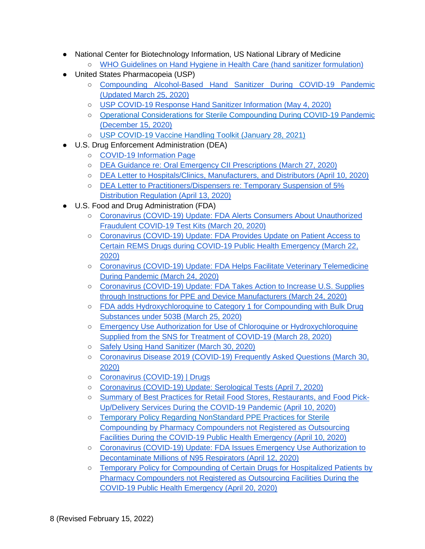- <span id="page-7-0"></span>• National Center for Biotechnology Information, US National Library of Medicine
	- [WHO Guidelines on Hand Hygiene in Health Care \(hand sanitizer formulation\)](https://www.ncbi.nlm.nih.gov/books/NBK144054/)
- <span id="page-7-1"></span>● United States Pharmacopeia (USP)
	- [Compounding Alcohol-Based Hand Sanitizer During COVID-19 Pandemic](https://www.usp.org/sites/default/files/usp/document/about/public-policy/usp-covid19-handrub.pdf)  [\(Updated March 25, 2020\)](https://www.usp.org/sites/default/files/usp/document/about/public-policy/usp-covid19-handrub.pdf)
	- [USP COVID-19 Response Hand Sanitizer Information \(May 4, 2020\)](https://go.usp.org/hand_sanitizer)
	- [Operational Considerations for Sterile Compounding During COVID-19 Pandemic](https://go.usp.org/l/323321/2020-04-11/345w2b)  [\(December 15, 2020\)](https://go.usp.org/l/323321/2020-04-11/345w2b)
	- [USP COVID-19 Vaccine Handling Toolkit \(January 28, 2021\)](https://www.usp.org/covid-19/vaccine-handling-toolkit)
- <span id="page-7-2"></span>● U.S. Drug Enforcement Administration (DEA)
	- [COVID-19 Information Page](https://www.deadiversion.usdoj.gov/coronavirus.html)
	- [DEA Guidance re: Oral Emergency CII Prescriptions \(March 27, 2020\)](https://www.deadiversion.usdoj.gov/GDP/(DEA-DC-021)(DEA073)%20Oral%20CII%20for%20regular%20CII%20scirpt%20(Final)%20+Esign%20a.pdf)
	- [DEA Letter to Hospitals/Clinics, Manufacturers, and Distributors \(April 10, 2020\)](https://www.deadiversion.usdoj.gov/GDP/(DEA-DC-028)(DEA084)_Hospital_Clinic_Registration_Exception_(final).pdf)
	- [DEA Letter to Practitioners/Dispensers re: Temporary Suspension of 5%](https://www.deadiversion.usdoj.gov/GDP/(DEA-DC-029)(DEA085)_DEA_5_percent_practitioner_exception_(final).pdf)  [Distribution Regulation \(April 13, 2020\)](https://www.deadiversion.usdoj.gov/GDP/(DEA-DC-029)(DEA085)_DEA_5_percent_practitioner_exception_(final).pdf)
- <span id="page-7-3"></span>● U.S. Food and Drug Administration (FDA)
	- [Coronavirus \(COVID-19\) Update: FDA Alerts Consumers About Unauthorized](https://www.fda.gov/news-events/press-announcements/coronavirus-covid-19-update-fda-alerts-consumers-about-unauthorized-fraudulent-covid-19-test-kits?utm_campaign=032020_PR_FDA%20alerts%20Consumers%20about%20Unauthorized%20Fraudulent%20COVID-19%20Test%20Kits&utm_medium=email&utm_source=Eloqua)  [Fraudulent COVID-19 Test Kits \(March 20, 2020\)](https://www.fda.gov/news-events/press-announcements/coronavirus-covid-19-update-fda-alerts-consumers-about-unauthorized-fraudulent-covid-19-test-kits?utm_campaign=032020_PR_FDA%20alerts%20Consumers%20about%20Unauthorized%20Fraudulent%20COVID-19%20Test%20Kits&utm_medium=email&utm_source=Eloqua)
	- Coronavirus (COVID-19) Update: FDA Provides Update on Patient Access to [Certain REMS Drugs during COVID-19 Public Health Emergency \(March 22,](https://www.fda.gov/news-events/press-announcements/coronavirus-covid-19-update-fda-provides-update-patient-access-certain-rems-drugs-during-covid-19?utm_campaign=032220_PR_FDA%20provides%20update%20on%20patient%20access%20to%20certain%20REMS%20drugs%20during%20COVID-19&utm_medium=email&utm_source=Eloqua)  [2020\)](https://www.fda.gov/news-events/press-announcements/coronavirus-covid-19-update-fda-provides-update-patient-access-certain-rems-drugs-during-covid-19?utm_campaign=032220_PR_FDA%20provides%20update%20on%20patient%20access%20to%20certain%20REMS%20drugs%20during%20COVID-19&utm_medium=email&utm_source=Eloqua)
	- [Coronavirus \(COVID-19\) Update: FDA Helps Facilitate Veterinary Telemedicine](https://www.fda.gov/news-events/press-announcements/coronavirus-covid-19-update-fda-helps-facilitate-veterinary-telemedicine-during-pandemic?utm_campaign=032420_PR_FDA%20Helps%20Facilitate%20Veterinary%20Telemedicine%20During%20COVID-19%20Pandemic&utm_medium=email&utm_source=Eloqua)  [During Pandemic \(March 24, 2020\)](https://www.fda.gov/news-events/press-announcements/coronavirus-covid-19-update-fda-helps-facilitate-veterinary-telemedicine-during-pandemic?utm_campaign=032420_PR_FDA%20Helps%20Facilitate%20Veterinary%20Telemedicine%20During%20COVID-19%20Pandemic&utm_medium=email&utm_source=Eloqua)
	- [Coronavirus \(COVID-19\) Update: FDA Takes Action to Increase U.S. Supplies](https://www.fda.gov/news-events/press-announcements/coronavirus-covid-19-update-fda-takes-action-increase-us-supplies-through-instructions-ppe-and)  [through Instructions for PPE and Device Manufacturers \(March 24, 2020\)](https://www.fda.gov/news-events/press-announcements/coronavirus-covid-19-update-fda-takes-action-increase-us-supplies-through-instructions-ppe-and)
	- FDA adds Hydroxychloroquine to Category 1 for Compounding with Bulk Drug [Substances under 503B \(March 25, 2020\)](https://www.fda.gov/media/94164/download)
	- [Emergency Use Authorization for Use of Chloroquine or Hydroxychloroquine](https://www.fda.gov/media/136534/download)  [Supplied from the SNS for Treatment of COVID-19 \(March 28, 2020\)](https://www.fda.gov/media/136534/download)
	- [Safely Using Hand Sanitizer \(March 30, 2020\)](https://www.fda.gov/consumers/consumer-updates/safely-using-hand-sanitizer)
	- [Coronavirus Disease 2019 \(COVID-19\) Frequently Asked Questions \(March 30,](https://www.fda.gov/emergency-preparedness-and-response/coronavirus-disease-2019-covid-19/coronavirus-disease-2019-covid-19-frequently-asked-questions?fbclid=IwAR1zi23xCurVU-aLVXxNihhMpc13X9MXV0ZbyeTbPq3_mPG7zXawNjsbEL4)  [2020\)](https://www.fda.gov/emergency-preparedness-and-response/coronavirus-disease-2019-covid-19/coronavirus-disease-2019-covid-19-frequently-asked-questions?fbclid=IwAR1zi23xCurVU-aLVXxNihhMpc13X9MXV0ZbyeTbPq3_mPG7zXawNjsbEL4)
	- [Coronavirus \(COVID-19\) | Drugs](https://www.fda.gov/drugs/emergency-preparedness-drugs/coronavirus-covid-19-drugs?utm_campaign=Update%20to%20CDER%20COVID-19%20Webpages&utm_medium=email&utm_source=Eloqua)
	- [Coronavirus \(COVID-19\) Update: Serological Tests \(April 7, 2020\)](https://www.fda.gov/news-events/press-announcements/coronavirus-covid-19-update-serological-tests?utm_campaign=040720_PR_Coronavirus%20%28COVID-19%29%20Update%3A%20Serological%20Tests&utm_medium=email&utm_source=Eloqua)
	- [Summary of Best Practices for Retail Food Stores, Restaurants, and Food Pick-](https://www.fda.gov/media/136812/download)[Up/Delivery Services During the COVID-19](https://www.fda.gov/media/136812/download) Pandemic (April 10, 2020)
	- [Temporary Policy Regarding NonStandard PPE Practices for Sterile](https://www.fda.gov/media/136841/download)  [Compounding by Pharmacy Compounders not Registered as Outsourcing](https://www.fda.gov/media/136841/download)  [Facilities During the COVID-19 Public Health Emergency \(April 10, 2020\)](https://www.fda.gov/media/136841/download)
	- [Coronavirus \(COVID-19\) Update: FDA Issues Emergency Use Authorization to](https://www.fda.gov/news-events/press-announcements/coronavirus-covid-19-update-fda-issues-emergency-use-authorization-decontaminate-millions-n95?utm_campaign=041220_PR_Coronavirus%20%28COVID-19%29%20Update%3A%20FDA%20Issues%20EUA%20To%20Decontaminate%20Millions%20of%20N95%20Respirators&utm_medium=email&utm_source=Eloqua)  [Decontaminate Millions of N95 Respirators \(April 12, 2020\)](https://www.fda.gov/news-events/press-announcements/coronavirus-covid-19-update-fda-issues-emergency-use-authorization-decontaminate-millions-n95?utm_campaign=041220_PR_Coronavirus%20%28COVID-19%29%20Update%3A%20FDA%20Issues%20EUA%20To%20Decontaminate%20Millions%20of%20N95%20Respirators&utm_medium=email&utm_source=Eloqua)
	- [Temporary Policy for Compounding of Certain Drugs for Hospitalized Patients by](https://www.fda.gov/media/137125/download)  [Pharmacy Compounders not Registered as Outsourcing Facilities During the](https://www.fda.gov/media/137125/download)  [COVID-19 Public Health Emergency \(April 20, 2020\)](https://www.fda.gov/media/137125/download)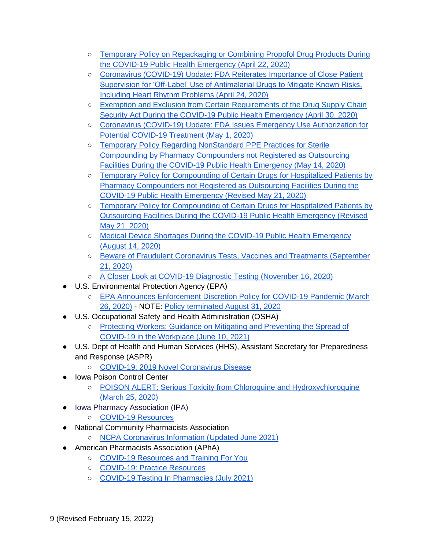- [Temporary Policy on Repackaging or Combining Propofol Drug Products During](https://www.fda.gov/media/137224/download)  [the COVID-19 Public Health Emergency \(April 22, 2020\)](https://www.fda.gov/media/137224/download)
- Coronavirus (COVID-19) Update: FDA Reiterates Importance of Close Patient [Supervision for 'Off-Label' Use of Antimalarial Drugs to Mitigate Known Risks,](https://www.fda.gov/news-events/press-announcements/coronavirus-covid-19-update-fda-reiterates-importance-close-patient-supervision-label-use?utm_campaign=042420_PR_FDA%20Notes%20Importance%20of%20Patient%20Supervision%20of%20Antimalarial%20Drug%20Use&utm_medium=email&utm_source=Eloqua)  [Including Heart Rhythm Problems \(April 24, 2020\)](https://www.fda.gov/news-events/press-announcements/coronavirus-covid-19-update-fda-reiterates-importance-close-patient-supervision-label-use?utm_campaign=042420_PR_FDA%20Notes%20Importance%20of%20Patient%20Supervision%20of%20Antimalarial%20Drug%20Use&utm_medium=email&utm_source=Eloqua)
- [Exemption and Exclusion from Certain Requirements of the Drug Supply Chain](https://www.fda.gov/media/137478/download) [Security Act During the COVID-19 Public Health Emergency \(April](https://www.fda.gov/media/137478/download) 30, 2020)
- Coronavirus (COVID-19) Update: FDA Issues Emergency Use Authorization for [Potential COVID-19 Treatment \(May 1, 2020\)](https://www.fda.gov/news-events/press-announcements/coronavirus-covid-19-update-fda-issues-emergency-use-authorization-potential-covid-19-treatment?utm_campaign=050120_PR_FDA%20Issues%20Emergency%20Use%20Authorization%20for%20Potential%20COVID-19%20Therapy&utm_medium=email&utm_source=Eloqua)
- [Temporary Policy Regarding NonStandard PPE Practices for Sterile](https://www.fda.gov/media/136841/download)  [Compounding by Pharmacy Compounders not Registered as Outsourcing](https://www.fda.gov/media/136841/download)  [Facilities During the COVID-19 Public Health Emergency \(May 14, 2020\)](https://www.fda.gov/media/136841/download)
- [Temporary Policy for Compounding of Certain Drugs for Hospitalized Patients by](https://www.fda.gov/media/137125/download?utm_campaign=Policy%20Updates%20to%20FDA%20Guidances%20on%20Compounding%20Certain%20Drugs%20for%20Hospitalized%20COVID-19%20Patients&utm_medium=email&utm_source=Eloqua)  [Pharmacy Compounders not Registered as Outsourcing Facilities During the](https://www.fda.gov/media/137125/download?utm_campaign=Policy%20Updates%20to%20FDA%20Guidances%20on%20Compounding%20Certain%20Drugs%20for%20Hospitalized%20COVID-19%20Patients&utm_medium=email&utm_source=Eloqua)  [COVID-19 Public Health Emergency \(Revised May 21, 2020\)](https://www.fda.gov/media/137125/download?utm_campaign=Policy%20Updates%20to%20FDA%20Guidances%20on%20Compounding%20Certain%20Drugs%20for%20Hospitalized%20COVID-19%20Patients&utm_medium=email&utm_source=Eloqua)
- [Temporary Policy for Compounding of Certain Drugs for Hospitalized Patients by](https://www.fda.gov/media/137031/download?utm_campaign=Policy%20Updates%20to%20FDA%20Guidances%20on%20Compounding%20Certain%20Drugs%20for%20Hospitalized%20COVID-19%20Patients&utm_medium=email&utm_source=Eloqua)  [Outsourcing Facilities During the COVID-19 Public Health Emergency \(Revised](https://www.fda.gov/media/137031/download?utm_campaign=Policy%20Updates%20to%20FDA%20Guidances%20on%20Compounding%20Certain%20Drugs%20for%20Hospitalized%20COVID-19%20Patients&utm_medium=email&utm_source=Eloqua)  [May 21, 2020\)](https://www.fda.gov/media/137031/download?utm_campaign=Policy%20Updates%20to%20FDA%20Guidances%20on%20Compounding%20Certain%20Drugs%20for%20Hospitalized%20COVID-19%20Patients&utm_medium=email&utm_source=Eloqua)
- [Medical Device Shortages During the COVID-19 Public Health Emergency](https://www.fda.gov/medical-devices/coronavirus-covid-19-and-medical-devices/medical-device-shortages-during-covid-19-public-health-emergency#shortage)  [\(August 14, 2020\)](https://www.fda.gov/medical-devices/coronavirus-covid-19-and-medical-devices/medical-device-shortages-during-covid-19-public-health-emergency#shortage)
- [Beware of Fraudulent Coronavirus Tests, Vaccines and Treatments \(September](https://www.fda.gov/consumers/consumer-updates/beware-fraudulent-coronavirus-tests-vaccines-and-treatments?utm_medium=email&utm_source=govdelivery)  [21, 2020\)](https://www.fda.gov/consumers/consumer-updates/beware-fraudulent-coronavirus-tests-vaccines-and-treatments?utm_medium=email&utm_source=govdelivery)
- [A Closer Look at COVID-19 Diagnostic Testing \(November 16, 2020\)](https://www.fda.gov/health-professionals/closer-look-covid-19-diagnostic-testing?utm_medium=email&utm_source=govdelivery)
- <span id="page-8-0"></span>● U.S. Environmental Protection Agency (EPA)
	- [EPA Announces Enforcement Discretion Policy for COVID-19 Pandemic \(March](https://www.epa.gov/newsreleases/epa-announces-enforcement-discretion-policy-covid-19-pandemic)  [26, 2020\)](https://www.epa.gov/newsreleases/epa-announces-enforcement-discretion-policy-covid-19-pandemic) - NOTE: [Policy terminated August 31, 2020](https://www.epa.gov/sites/default/files/2020-06/documents/covid19addendumontermination.pdf)
- <span id="page-8-1"></span>● U.S. Occupational Safety and Health Administration (OSHA)
	- [Protecting Workers: Guidance on Mitigating and Preventing the Spread of](https://www.osha.gov/coronavirus/safework)  [COVID-19 in the Workplace \(June 10, 2021\)](https://www.osha.gov/coronavirus/safework)
- <span id="page-8-2"></span>● U.S. Dept of Health and Human Services (HHS), Assistant Secretary for Preparedness and Response (ASPR)
	- [COVID-19: 2019 Novel Coronavirus Disease](https://www.phe.gov/emergency/events/COVID19/Pages/default.aspx)
- <span id="page-8-3"></span>● Iowa Poison Control Center
	- POISON ALERT: Serious Toxicity from Chloroquine and Hydroxychloroquine [\(March 25, 2020\)](https://idph.iowa.gov/Portals/1/userfiles/7/Poison%20Alert%202020-03-25.pdf)
- <span id="page-8-4"></span>● Iowa Pharmacy Association (IPA)
	- [COVID-19 Resources](https://www.iarx.org/covid19)
- <span id="page-8-5"></span>● National Community Pharmacists Association
	- [NCPA Coronavirus Information \(Updated June 2021\)](https://ncpa.org/coronavirus-information)
- <span id="page-8-6"></span>● American Pharmacists Association (APhA)
	- [COVID-19 Resources and Training For You](https://www.pharmacist.com/coronavirus/resources-training)
	- [COVID-19: Practice Resources](https://www.pharmacist.com/coronavirus/practice-resources)
	- [COVID-19 Testing In Pharmacies \(July 2021\)](https://www.pharmacist.com/Practice/COVID-19/Testing-in-Pharmacies)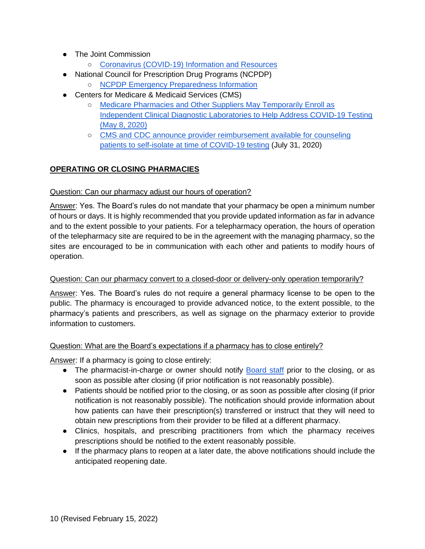- <span id="page-9-0"></span>● The Joint Commission
	- o [Coronavirus \(COVID-19\) Information and Resources](https://www.jointcommission.org/covid-19/?mkt_tok=eyJpIjoiWkRVelltVmhNamN4T0dKbSIsInQiOiJkTXRvdkkzVlZseVwvUFlic1haNE1yeG5BT2VSTWhqd3B5NHVSVFdQMHhGaTFsWEhHblYxNTVMQVBVZUNPVkRDa1dwWlZrMWRsTW40NTUxdmFLekJHOTBoQzlaSUIrbm85XC9xTEgybEFrRkRpNHdNNEVSbnhRSXJhSitHT3Z1QXBRIn0%3D)
- <span id="page-9-1"></span>● National Council for Prescription Drug Programs (NCPDP)
	- [NCPDP Emergency Preparedness Information](https://www.ncpdp.org/NCPDP/media/pdf/NCPDPEmergencyPreparednessInformation.pdf)
- <span id="page-9-2"></span>● Centers for Medicare & Medicaid Services (CMS)
	- [Medicare Pharmacies and Other Suppliers May Temporarily Enroll as](https://www.cms.gov/files/document/se20017.pdf)  [Independent Clinical Diagnostic Laboratories to Help Address COVID-19 Testing](https://www.cms.gov/files/document/se20017.pdf)  [\(May 8, 2020\)](https://www.cms.gov/files/document/se20017.pdf)
	- CMS and CDC announce provider reimbursement available for counseling [patients to self-isolate at time of COVID-19 testing](https://www.cms.gov/newsroom/press-releases/cms-and-cdc-announce-provider-reimbursement-available-counseling-patients-self-isolate-time-covid-19) [\(July 31, 2020\)](https://www.cms.gov/newsroom/press-releases/cms-and-cdc-announce-provider-reimbursement-available-counseling-patients-self-isolate-time-covid-19)

## <span id="page-9-3"></span>**OPERATING OR CLOSING PHARMACIES**

#### <span id="page-9-4"></span>Question: Can our pharmacy adjust our hours of operation?

Answer: Yes. The Board's rules do not mandate that your pharmacy be open a minimum number of hours or days. It is highly recommended that you provide updated information as far in advance and to the extent possible to your patients. For a telepharmacy operation, the hours of operation of the telepharmacy site are required to be in the agreement with the managing pharmacy, so the sites are encouraged to be in communication with each other and patients to modify hours of operation.

#### <span id="page-9-5"></span>Question: Can our pharmacy convert to a closed-door or delivery-only operation temporarily?

Answer: Yes. The Board's rules do not require a general pharmacy license to be open to the public. The pharmacy is encouraged to provide advanced notice, to the extent possible, to the pharmacy's patients and prescribers, as well as signage on the pharmacy exterior to provide information to customers.

### <span id="page-9-6"></span>Question: What are the Board's expectations if a pharmacy has to close entirely?

Answer: If a pharmacy is going to close entirely:

- The pharmacist-in-charge or owner should notify [Board staff](https://pharmacy.iowa.gov/contact-us) prior to the closing, or as soon as possible after closing (if prior notification is not reasonably possible).
- Patients should be notified prior to the closing, or as soon as possible after closing (if prior notification is not reasonably possible). The notification should provide information about how patients can have their prescription(s) transferred or instruct that they will need to obtain new prescriptions from their provider to be filled at a different pharmacy.
- Clinics, hospitals, and prescribing practitioners from which the pharmacy receives prescriptions should be notified to the extent reasonably possible.
- If the pharmacy plans to reopen at a later date, the above notifications should include the anticipated reopening date.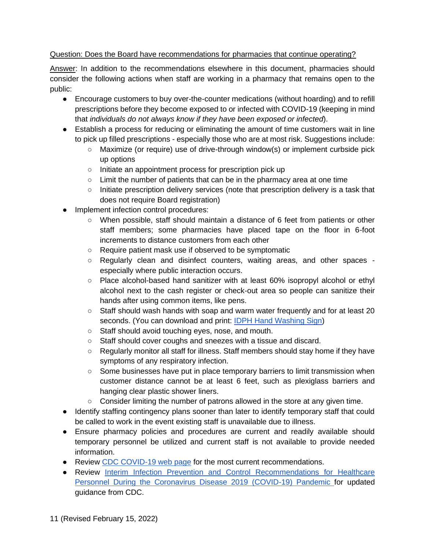### <span id="page-10-0"></span>Question: Does the Board have recommendations for pharmacies that continue operating?

Answer: In addition to the recommendations elsewhere in this document, pharmacies should consider the following actions when staff are working in a pharmacy that remains open to the public:

- Encourage customers to buy over-the-counter medications (without hoarding) and to refill prescriptions before they become exposed to or infected with COVID-19 (keeping in mind that *individuals do not always know if they have been exposed or infected*).
- Establish a process for reducing or eliminating the amount of time customers wait in line to pick up filled prescriptions - especially those who are at most risk. Suggestions include:
	- Maximize (or require) use of drive-through window(s) or implement curbside pick up options
	- Initiate an appointment process for prescription pick up
	- $\circ$  Limit the number of patients that can be in the pharmacy area at one time
	- Initiate prescription delivery services (note that prescription delivery is a task that does not require Board registration)
- Implement infection control procedures:
	- When possible, staff should maintain a distance of 6 feet from patients or other staff members; some pharmacies have placed tape on the floor in 6-foot increments to distance customers from each other
	- Require patient mask use if observed to be symptomatic
	- Regularly clean and disinfect counters, waiting areas, and other spaces especially where public interaction occurs.
	- Place alcohol-based hand sanitizer with at least 60% isopropyl alcohol or ethyl alcohol next to the cash register or check-out area so people can sanitize their hands after using common items, like pens.
	- Staff should wash hands with soap and warm water frequently and for at least 20 seconds. (You can download and print: [IDPH Hand Washing Sign\)](https://idph.iowa.gov/Portals/1/userfiles/128/handwashing%20poster%202017.pdf)
	- Staff should avoid touching eyes, nose, and mouth.
	- Staff should cover coughs and sneezes with a tissue and discard.
	- Regularly monitor all staff for illness. Staff members should stay home if they have symptoms of any respiratory infection.
	- Some businesses have put in place temporary barriers to limit transmission when customer distance cannot be at least 6 feet, such as plexiglass barriers and hanging clear plastic shower liners.
	- $\circ$  Consider limiting the number of patrons allowed in the store at any given time.
- Identify staffing contingency plans sooner than later to identify temporary staff that could be called to work in the event existing staff is unavailable due to illness.
- Ensure pharmacy policies and procedures are current and readily available should temporary personnel be utilized and current staff is not available to provide needed information.
- Review [CDC COVID-19 web page](https://www.cdc.gov/coronavirus/2019-ncov/index.html) for the most current recommendations.
- Review [Interim Infection Prevention and Control Recommendations for Healthcare](https://www.cdc.gov/coronavirus/2019-ncov/hcp/infection-control-recommendations.html?utm_medium=email&utm_source=govdelivery)  [Personnel During the Coronavirus Disease 2019 \(COVID-19\) Pandemic f](https://www.cdc.gov/coronavirus/2019-ncov/hcp/infection-control-recommendations.html?utm_medium=email&utm_source=govdelivery)or updated guidance from CDC.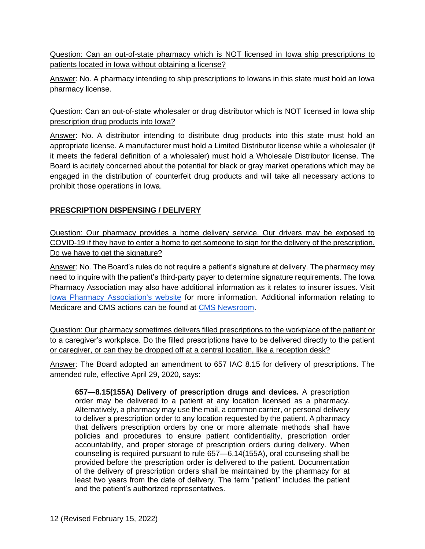<span id="page-11-0"></span>Question: Can an out-of-state pharmacy which is NOT licensed in Iowa ship prescriptions to patients located in Iowa without obtaining a license?

Answer: No. A pharmacy intending to ship prescriptions to Iowans in this state must hold an Iowa pharmacy license.

<span id="page-11-1"></span>Question: Can an out-of-state wholesaler or drug distributor which is NOT licensed in Iowa ship prescription drug products into Iowa?

Answer: No. A distributor intending to distribute drug products into this state must hold an appropriate license. A manufacturer must hold a Limited Distributor license while a wholesaler (if it meets the federal definition of a wholesaler) must hold a Wholesale Distributor license. The Board is acutely concerned about the potential for black or gray market operations which may be engaged in the distribution of counterfeit drug products and will take all necessary actions to prohibit those operations in Iowa.

### <span id="page-11-2"></span>**PRESCRIPTION DISPENSING / DELIVERY**

<span id="page-11-3"></span>Question: Our pharmacy provides a home delivery service. Our drivers may be exposed to COVID-19 if they have to enter a home to get someone to sign for the delivery of the prescription. Do we have to get the signature?

Answer: No. The Board's rules do not require a patient's signature at delivery. The pharmacy may need to inquire with the patient's third-party payer to determine signature requirements. The Iowa Pharmacy Association may also have additional information as it relates to insurer issues. Visit **[Iowa Pharmacy Association's website](https://www.iarx.org/) for more information. Additional information relating to** Medicare and CMS actions can be found at [CMS Newsroom.](https://www.cms.gov/newsroom)

<span id="page-11-4"></span>Question: Our pharmacy sometimes delivers filled prescriptions to the workplace of the patient or to a caregiver's workplace. Do the filled prescriptions have to be delivered directly to the patient or caregiver, or can they be dropped off at a central location, like a reception desk?

Answer: The Board adopted an amendment to 657 IAC 8.15 for delivery of prescriptions. The amended rule, effective April 29, 2020, says:

**657—8.15(155A) Delivery of prescription drugs and devices.** A prescription order may be delivered to a patient at any location licensed as a pharmacy. Alternatively, a pharmacy may use the mail, a common carrier, or personal delivery to deliver a prescription order to any location requested by the patient. A pharmacy that delivers prescription orders by one or more alternate methods shall have policies and procedures to ensure patient confidentiality, prescription order accountability, and proper storage of prescription orders during delivery. When counseling is required pursuant to rule [657—6.14\(](https://www.legis.iowa.gov/docs/iac/rule/657.6.14.pdf)155A), oral counseling shall be provided before the prescription order is delivered to the patient. Documentation of the delivery of prescription orders shall be maintained by the pharmacy for at least two years from the date of delivery. The term "patient" includes the patient and the patient's authorized representatives.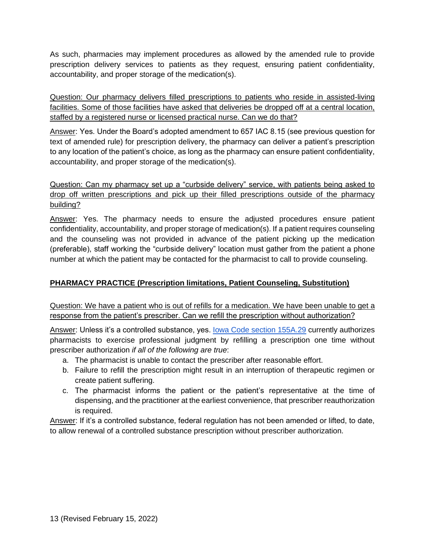As such, pharmacies may implement procedures as allowed by the amended rule to provide prescription delivery services to patients as they request, ensuring patient confidentiality, accountability, and proper storage of the medication(s).

<span id="page-12-0"></span>Question: Our pharmacy delivers filled prescriptions to patients who reside in assisted-living facilities. Some of those facilities have asked that deliveries be dropped off at a central location, staffed by a registered nurse or licensed practical nurse. Can we do that?

Answer: Yes. Under the Board's adopted amendment to 657 IAC 8.15 (see previous question for text of amended rule) for prescription delivery, the pharmacy can deliver a patient's prescription to any location of the patient's choice, as long as the pharmacy can ensure patient confidentiality, accountability, and proper storage of the medication(s).

<span id="page-12-1"></span>Question: Can my pharmacy set up a "curbside delivery" service, with patients being asked to drop off written prescriptions and pick up their filled prescriptions outside of the pharmacy building?

Answer: Yes. The pharmacy needs to ensure the adjusted procedures ensure patient confidentiality, accountability, and proper storage of medication(s). If a patient requires counseling and the counseling was not provided in advance of the patient picking up the medication (preferable), staff working the "curbside delivery" location must gather from the patient a phone number at which the patient may be contacted for the pharmacist to call to provide counseling.

### <span id="page-12-2"></span>**PHARMACY PRACTICE (Prescription limitations, Patient Counseling, Substitution)**

<span id="page-12-3"></span>Question: We have a patient who is out of refills for a medication. We have been unable to get a response from the patient's prescriber. Can we refill the prescription without authorization?

Answer: Unless it's a controlled substance, yes. [Iowa Code section 155A.29](https://www.legis.iowa.gov/docs/code/155A.29.pdf) currently authorizes pharmacists to exercise professional judgment by refilling a prescription one time without prescriber authorization *if all of the following are true*:

- a. The pharmacist is unable to contact the prescriber after reasonable effort.
- b. Failure to refill the prescription might result in an interruption of therapeutic regimen or create patient suffering.
- c. The pharmacist informs the patient or the patient's representative at the time of dispensing, and the practitioner at the earliest convenience, that prescriber reauthorization is required.

Answer: If it's a controlled substance, federal regulation has not been amended or lifted, to date, to allow renewal of a controlled substance prescription without prescriber authorization.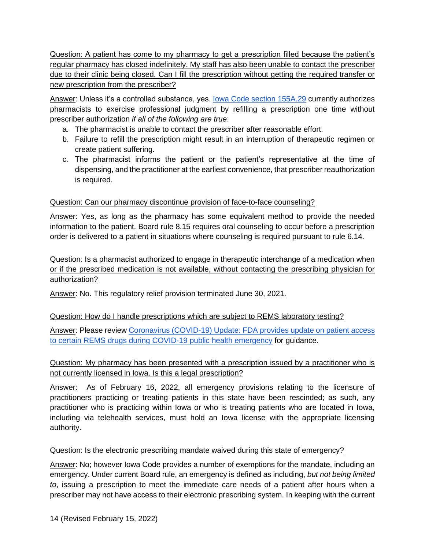<span id="page-13-0"></span>Question: A patient has come to my pharmacy to get a prescription filled because the patient's regular pharmacy has closed indefinitely. My staff has also been unable to contact the prescriber due to their clinic being closed. Can I fill the prescription without getting the required transfer or new prescription from the prescriber?

Answer: Unless it's a controlled substance, yes. lowa Code section 155A.29 currently authorizes pharmacists to exercise professional judgment by refilling a prescription one time without prescriber authorization *if all of the following are true*:

- a. The pharmacist is unable to contact the prescriber after reasonable effort.
- b. Failure to refill the prescription might result in an interruption of therapeutic regimen or create patient suffering.
- c. The pharmacist informs the patient or the patient's representative at the time of dispensing, and the practitioner at the earliest convenience, that prescriber reauthorization is required.

### <span id="page-13-1"></span>Question: Can our pharmacy discontinue provision of face-to-face counseling?

Answer: Yes, as long as the pharmacy has some equivalent method to provide the needed information to the patient. Board rule 8.15 requires oral counseling to occur before a prescription order is delivered to a patient in situations where counseling is required pursuant to rule 6.14.

<span id="page-13-2"></span>Question: Is a pharmacist authorized to engage in therapeutic interchange of a medication when or if the prescribed medication is not available, without contacting the prescribing physician for authorization?

<span id="page-13-3"></span>Answer: No. This regulatory relief provision terminated June 30, 2021.

### Question: How do I handle prescriptions which are subject to REMS laboratory testing?

Answer: Please review [Coronavirus \(COVID-19\) Update: FDA provides update on patient access](https://www.fda.gov/news-events/press-announcements/coronavirus-covid-19-update-fda-provides-update-patient-access-certain-rems-drugs-during-covid-19?utm_campaign=032220_PR_FDA%20provides%20update%20on%20patient%20access%20to%20certain%20REMS%20drugs%20during%20COVID-19&utm_medium=email&utm_source=Eloqua)  [to certain REMS drugs during COVID-19 public health emergency](https://www.fda.gov/news-events/press-announcements/coronavirus-covid-19-update-fda-provides-update-patient-access-certain-rems-drugs-during-covid-19?utm_campaign=032220_PR_FDA%20provides%20update%20on%20patient%20access%20to%20certain%20REMS%20drugs%20during%20COVID-19&utm_medium=email&utm_source=Eloqua) for guidance.

# <span id="page-13-4"></span>Question: My pharmacy has been presented with a prescription issued by a practitioner who is not currently licensed in Iowa. Is this a legal prescription?

Answer: As of February 16, 2022, all emergency provisions relating to the licensure of practitioners practicing or treating patients in this state have been rescinded; as such, any practitioner who is practicing within Iowa or who is treating patients who are located in Iowa, including via telehealth services, must hold an Iowa license with the appropriate licensing authority.

### <span id="page-13-5"></span>Question: Is the electronic prescribing mandate waived during this state of emergency?

Answer: No; however Iowa Code provides a number of exemptions for the mandate, including an emergency. Under current Board rule, an emergency is defined as including, *but not being limited to*, issuing a prescription to meet the immediate care needs of a patient after hours when a prescriber may not have access to their electronic prescribing system. In keeping with the current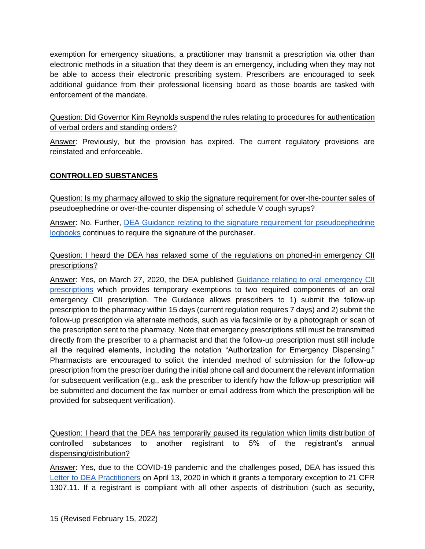exemption for emergency situations, a practitioner may transmit a prescription via other than electronic methods in a situation that they deem is an emergency, including when they may not be able to access their electronic prescribing system. Prescribers are encouraged to seek additional guidance from their professional licensing board as those boards are tasked with enforcement of the mandate.

<span id="page-14-0"></span>Question: Did Governor Kim Reynolds suspend the rules relating to procedures for authentication of verbal orders and standing orders?

Answer: Previously, but the provision has expired. The current regulatory provisions are reinstated and enforceable.

## <span id="page-14-1"></span>**CONTROLLED SUBSTANCES**

<span id="page-14-2"></span>Question: Is my pharmacy allowed to skip the signature requirement for over-the-counter sales of pseudoephedrine or over-the-counter dispensing of schedule V cough syrups?

Answer: No. Further, [DEA Guidance relating to the signature requirement for pseudoephedrine](https://www.deadiversion.usdoj.gov/faq/coronavirus_faq.htm#PSEUDO)  [logbooks](https://www.deadiversion.usdoj.gov/faq/coronavirus_faq.htm#PSEUDO) continues to require the signature of the purchaser.

### <span id="page-14-3"></span>Question: I heard the DEA has relaxed some of the regulations on phoned-in emergency CII prescriptions?

Answer: Yes, on March 27, 2020, the DEA published [Guidance relating to oral emergency CII](https://www.deadiversion.usdoj.gov/GDP/(DEA-DC-021)(DEA073)%20Oral%20CII%20for%20regular%20CII%20scirpt%20(Final)%20+Esign%20a.pdf)  [prescriptions](https://www.deadiversion.usdoj.gov/GDP/(DEA-DC-021)(DEA073)%20Oral%20CII%20for%20regular%20CII%20scirpt%20(Final)%20+Esign%20a.pdf) which provides temporary exemptions to two required components of an oral emergency CII prescription. The Guidance allows prescribers to 1) submit the follow-up prescription to the pharmacy within 15 days (current regulation requires 7 days) and 2) submit the follow-up prescription via alternate methods, such as via facsimile or by a photograph or scan of the prescription sent to the pharmacy. Note that emergency prescriptions still must be transmitted directly from the prescriber to a pharmacist and that the follow-up prescription must still include all the required elements, including the notation "Authorization for Emergency Dispensing." Pharmacists are encouraged to solicit the intended method of submission for the follow-up prescription from the prescriber during the initial phone call and document the relevant information for subsequent verification (e.g., ask the prescriber to identify how the follow-up prescription will be submitted and document the fax number or email address from which the prescription will be provided for subsequent verification).

<span id="page-14-4"></span>Question: I heard that the DEA has temporarily paused its regulation which limits distribution of controlled substances to another registrant to 5% of the registrant's annual dispensing/distribution?

Answer: Yes, due to the COVID-19 pandemic and the challenges posed, DEA has issued this [Letter to DEA Practitioners](https://www.deadiversion.usdoj.gov/GDP/(DEA-DC-029)(DEA085)_DEA_5_percent_practitioner_exception_(final).pdf) on April 13, 2020 in which it grants a temporary exception to 21 CFR 1307.11. If a registrant is compliant with all other aspects of distribution (such as security,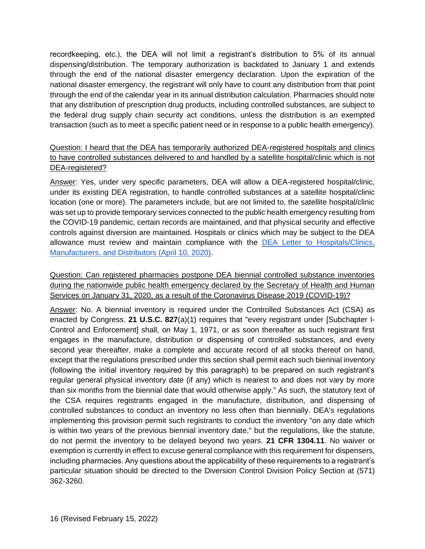recordkeeping, etc.), the DEA will not limit a registrant's distribution to 5% of its annual dispensing/distribution. The temporary authorization is backdated to January 1 and extends through the end of the national disaster emergency declaration. Upon the expiration of the national disaster emergency, the registrant will only have to count any distribution from that point through the end of the calendar year in its annual distribution calculation. Pharmacies should note that any distribution of prescription drug products, including controlled substances, are subject to the federal drug supply chain security act conditions, unless the distribution is an exempted transaction (such as to meet a specific patient need or in response to a public health emergency).

## <span id="page-15-0"></span>Question: I heard that the DEA has temporarily authorized DEA-registered hospitals and clinics to have controlled substances delivered to and handled by a satellite hospital/clinic which is not DEA-registered?

Answer: Yes, under very specific parameters, DEA will allow a DEA-registered hospital/clinic, under its existing DEA registration, to handle controlled substances at a satellite hospital/clinic location (one or more). The parameters include, but are not limited to, the satellite hospital/clinic was set up to provide temporary services connected to the public health emergency resulting from the COVID-19 pandemic, certain records are maintained, and that physical security and effective controls against diversion are maintained. Hospitals or clinics which may be subject to the DEA allowance must review and maintain compliance with the [DEA Letter to Hospitals/Clinics,](https://www.ashp.org/-/media/assets/advocacy-issues/docs/GRD-Hospital-Clinic-Registration-Exception.ashx?la=en&hash=E0272AD8AF1CAEE4A367D83F2610347E537ADE4E)  [Manufacturers, and Distributors \(April 10,](https://www.ashp.org/-/media/assets/advocacy-issues/docs/GRD-Hospital-Clinic-Registration-Exception.ashx?la=en&hash=E0272AD8AF1CAEE4A367D83F2610347E537ADE4E) 2020).

## <span id="page-15-1"></span>Question: Can registered pharmacies postpone DEA biennial controlled substance inventories during the nationwide public health emergency declared by the Secretary of Health and Human Services on January 31, 2020, as a result of the Coronavirus Disease 2019 (COVID-19)?

Answer: No. A biennial inventory is required under the Controlled Substances Act (CSA) as enacted by Congress. **[21 U.S.C. 827](https://www.deadiversion.usdoj.gov/21cfr/21usc/827.htm)**(a)(1) requires that "every registrant under [Subchapter I-Control and Enforcement] shall, on May 1, 1971, or as soon thereafter as such registrant first engages in the manufacture, distribution or dispensing of controlled substances, and every second year thereafter, make a complete and accurate record of all stocks thereof on hand, except that the regulations prescribed under this section shall permit each such biennial inventory (following the initial inventory required by this paragraph) to be prepared on such registrant's regular general physical inventory date (if any) which is nearest to and does not vary by more than six months from the biennial date that would otherwise apply." As such, the statutory text of the CSA requires registrants engaged in the manufacture, distribution, and dispensing of controlled substances to conduct an inventory no less often than biennially. DEA's regulations implementing this provision permit such registrants to conduct the inventory "on any date which is within two years of the previous biennial inventory date," but the regulations, like the statute, do not permit the inventory to be delayed beyond two years. **[21 CFR 1304.11](https://www.deadiversion.usdoj.gov/21cfr/cfr/1304/1304_11.htm)**. No waiver or exemption is currently in effect to excuse general compliance with this requirement for dispensers, including pharmacies. Any questions about the applicability of these requirements to a registrant's particular situation should be directed to the Diversion Control Division Policy Section at (571) 362-3260.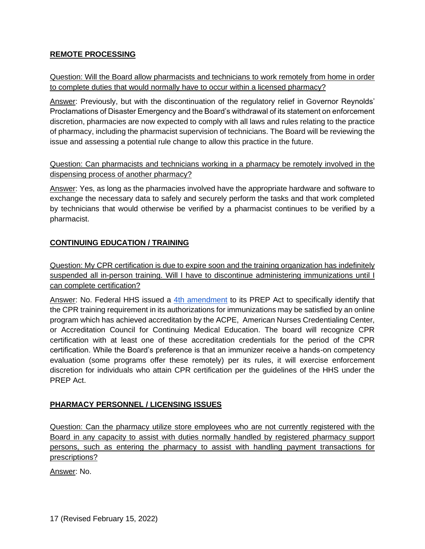### <span id="page-16-0"></span>**REMOTE PROCESSING**

## <span id="page-16-1"></span>Question: Will the Board allow pharmacists and technicians to work remotely from home in order to complete duties that would normally have to occur within a licensed pharmacy?

Answer: Previously, but with the discontinuation of the regulatory relief in Governor Reynolds' Proclamations of Disaster Emergency and the Board's withdrawal of its statement on enforcement discretion, pharmacies are now expected to comply with all laws and rules relating to the practice of pharmacy, including the pharmacist supervision of technicians. The Board will be reviewing the issue and assessing a potential rule change to allow this practice in the future.

### <span id="page-16-2"></span>Question: Can pharmacists and technicians working in a pharmacy be remotely involved in the dispensing process of another pharmacy?

Answer: Yes, as long as the pharmacies involved have the appropriate hardware and software to exchange the necessary data to safely and securely perform the tasks and that work completed by technicians that would otherwise be verified by a pharmacist continues to be verified by a pharmacist.

## <span id="page-16-3"></span>**CONTINUING EDUCATION / TRAINING**

<span id="page-16-4"></span>Question: My CPR certification is due to expire soon and the training organization has indefinitely suspended all in-person training. Will I have to discontinue administering immunizations until I can complete certification?

Answer: No. Federal HHS issued a [4th amendment](https://www.phe.gov/Preparedness/legal/prepact/Pages/4-PREP-Act.aspx) to its PREP Act to specifically identify that the CPR training requirement in its authorizations for immunizations may be satisfied by an online program which has achieved accreditation by the ACPE, American Nurses Credentialing Center, or Accreditation Council for Continuing Medical Education. The board will recognize CPR certification with at least one of these accreditation credentials for the period of the CPR certification. While the Board's preference is that an immunizer receive a hands-on competency evaluation (some programs offer these remotely) per its rules, it will exercise enforcement discretion for individuals who attain CPR certification per the guidelines of the HHS under the PREP Act.

### <span id="page-16-5"></span>**PHARMACY PERSONNEL / LICENSING ISSUES**

<span id="page-16-6"></span>Question: Can the pharmacy utilize store employees who are not currently registered with the Board in any capacity to assist with duties normally handled by registered pharmacy support persons, such as entering the pharmacy to assist with handling payment transactions for prescriptions?

Answer: No.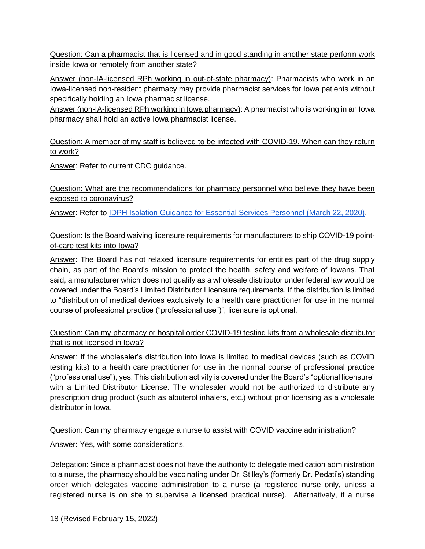<span id="page-17-0"></span>Question: Can a pharmacist that is licensed and in good standing in another state perform work inside Iowa or remotely from another state?

Answer (non-IA-licensed RPh working in out-of-state pharmacy): Pharmacists who work in an Iowa-licensed non-resident pharmacy may provide pharmacist services for Iowa patients without specifically holding an Iowa pharmacist license.

Answer (non-IA-licensed RPh working in Iowa pharmacy): A pharmacist who is working in an Iowa pharmacy shall hold an active Iowa pharmacist license.

### <span id="page-17-1"></span>Question: A member of my staff is believed to be infected with COVID-19. When can they return to work?

<span id="page-17-2"></span>Answer: Refer to current CDC guidance.

## Question: What are the recommendations for pharmacy personnel who believe they have been exposed to coronavirus?

<span id="page-17-3"></span>Answer: Refer to [IDPH Isolation Guidance for Essential Services Personnel \(March 22, 2020\).](https://idph.iowa.gov/Portals/1/userfiles/7/3222020UpdatedIsolation%20guidance%20for%20Iowa%20essential%20services%20personnel.pdf)

## Question: Is the Board waiving licensure requirements for manufacturers to ship COVID-19 pointof-care test kits into Iowa?

Answer: The Board has not relaxed licensure requirements for entities part of the drug supply chain, as part of the Board's mission to protect the health, safety and welfare of Iowans. That said, a manufacturer which does not qualify as a wholesale distributor under federal law would be covered under the Board's Limited Distributor Licensure requirements. If the distribution is limited to "distribution of medical devices exclusively to a health care practitioner for use in the normal course of professional practice ("professional use")", licensure is optional.

## <span id="page-17-4"></span>Question: Can my pharmacy or hospital order COVID-19 testing kits from a wholesale distributor that is not licensed in Iowa?

Answer: If the wholesaler's distribution into Iowa is limited to medical devices (such as COVID testing kits) to a health care practitioner for use in the normal course of professional practice ("professional use"), yes. This distribution activity is covered under the Board's "optional licensure" with a Limited Distributor License. The wholesaler would not be authorized to distribute any prescription drug product (such as albuterol inhalers, etc.) without prior licensing as a wholesale distributor in Iowa.

### <span id="page-17-5"></span>Question: Can my pharmacy engage a nurse to assist with COVID vaccine administration?

Answer: Yes, with some considerations.

Delegation: Since a pharmacist does not have the authority to delegate medication administration to a nurse, the pharmacy should be vaccinating under Dr. Stilley's (formerly Dr. Pedati's) standing order which delegates vaccine administration to a nurse (a registered nurse only, unless a registered nurse is on site to supervise a licensed practical nurse). Alternatively, if a nurse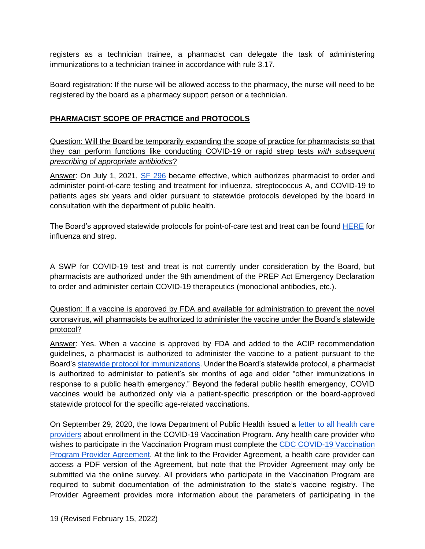registers as a technician trainee, a pharmacist can delegate the task of administering immunizations to a technician trainee in accordance with rule 3.17.

Board registration: If the nurse will be allowed access to the pharmacy, the nurse will need to be registered by the board as a pharmacy support person or a technician.

#### <span id="page-18-0"></span>**PHARMACIST SCOPE OF PRACTICE and PROTOCOLS**

<span id="page-18-1"></span>Question: Will the Board be temporarily expanding the scope of practice for pharmacists so that they can perform functions like conducting COVID-19 or rapid strep tests *with subsequent prescribing of appropriate antibiotics*?

Answer: On July 1, 2021, [SF 296](https://www.legis.iowa.gov/legislation/BillBook?ga=89&ba=sf296) became effective, which authorizes pharmacist to order and administer point-of-care testing and treatment for influenza, streptococcus A, and COVID-19 to patients ages six years and older pursuant to statewide protocols developed by the board in consultation with the department of public health.

The Board's approved statewide protocols for point-of-care test and treat can be found [HERE](https://pharmacy.iowa.gov/misc/statewide-protocols) for influenza and strep.

A SWP for COVID-19 test and treat is not currently under consideration by the Board, but pharmacists are authorized under the 9th amendment of the PREP Act Emergency Declaration to order and administer certain COVID-19 therapeutics (monoclonal antibodies, etc.).

<span id="page-18-2"></span>Question: If a vaccine is approved by FDA and available for administration to prevent the novel coronavirus, will pharmacists be authorized to administer the vaccine under the Board's statewide protocol?

Answer: Yes. When a vaccine is approved by FDA and added to the ACIP recommendation guidelines, a pharmacist is authorized to administer the vaccine to a patient pursuant to the Board's [statewide protocol for immunizations.](https://pharmacy.iowa.gov/sites/default/files/documents/2021/07/immunization_swp_v1.2_2021_approved_1.pdf) Under the Board's statewide protocol, a pharmacist is authorized to administer to patient's six months of age and older "other immunizations in response to a public health emergency." Beyond the federal public health emergency, COVID vaccines would be authorized only via a patient-specific prescription or the board-approved statewide protocol for the specific age-related vaccinations.

On September 29, 2020, the Iowa Department of Public Health issued a [letter to all health care](https://idph.iowa.gov/Portals/1/userfiles/61/covid19/vaccine/COVID-19%20Vaccine%20Provider%20Enrollment%20Letter%209_29_20%20%281%29.pdf)  [providers](https://idph.iowa.gov/Portals/1/userfiles/61/covid19/vaccine/COVID-19%20Vaccine%20Provider%20Enrollment%20Letter%209_29_20%20%281%29.pdf) about enrollment in the COVID-19 Vaccination Program. Any health care provider who wishes to participate in the Vaccination Program must complete the [CDC COVID-19 Vaccination](https://redcap.idph.state.ia.us/surveys/?s=PCT38E9TKW)  [Program Provider Agreement.](https://redcap.idph.state.ia.us/surveys/?s=PCT38E9TKW) At the link to the Provider Agreement, a health care provider can access a PDF version of the Agreement, but note that the Provider Agreement may only be submitted via the online survey. All providers who participate in the Vaccination Program are required to submit documentation of the administration to the state's vaccine registry. The Provider Agreement provides more information about the parameters of participating in the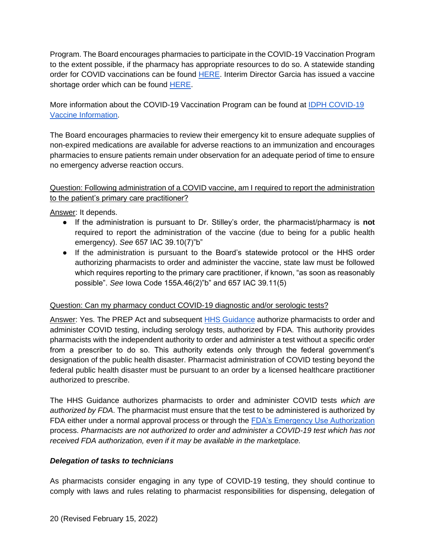Program. The Board encourages pharmacies to participate in the COVID-19 Vaccination Program to the extent possible, if the pharmacy has appropriate resources to do so. A statewide standing order for COVID vaccinations can be found [HERE.](https://pharmacy.iowa.gov/sites/default/files/documents/2021/11/vaccine_standing_order.ds_.pdf) Interim Director Garcia has issued a vaccine shortage order which can be found [HERE.](https://idph.iowa.gov/Portals/1/userfiles/61/covid19/vaccine/Vaccine%20Shortage%20Order%20Phase%201-A%20FIN.pdf)

More information about the COVID-19 Vaccination Program can be found at IDPH COVID-19 [Vaccine Information.](https://idph.iowa.gov/Emerging-Health-Issues/Novel-Coronavirus/Vaccine)

The Board encourages pharmacies to review their emergency kit to ensure adequate supplies of non-expired medications are available for adverse reactions to an immunization and encourages pharmacies to ensure patients remain under observation for an adequate period of time to ensure no emergency adverse reaction occurs.

### <span id="page-19-0"></span>Question: Following administration of a COVID vaccine, am I required to report the administration to the patient's primary care practitioner?

Answer: It depends.

- If the administration is pursuant to Dr. Stilley's order, the pharmacist/pharmacy is **not** required to report the administration of the vaccine (due to being for a public health emergency). *See* 657 IAC 39.10(7)"b"
- If the administration is pursuant to the Board's statewide protocol or the HHS order authorizing pharmacists to order and administer the vaccine, state law must be followed which requires reporting to the primary care practitioner, if known, "as soon as reasonably possible". *See* Iowa Code 155A.46(2)"b" and 657 IAC 39.11(5)

### <span id="page-19-1"></span>Question: Can my pharmacy conduct COVID-19 diagnostic and/or serologic tests?

Answer: Yes. The PREP Act and subsequent [HHS Guidance](https://www.hhs.gov/sites/default/files/authorizing-licensed-pharmacists-to-order-and-administer-covid-19-tests.pdf) authorize pharmacists to order and administer COVID testing, including serology tests, authorized by FDA. This authority provides pharmacists with the independent authority to order and administer a test without a specific order from a prescriber to do so. This authority extends only through the federal government's designation of the public health disaster. Pharmacist administration of COVID testing beyond the federal public health disaster must be pursuant to an order by a licensed healthcare practitioner authorized to prescribe.

The HHS Guidance authorizes pharmacists to order and administer COVID tests *which are authorized by FDA*. The pharmacist must ensure that the test to be administered is authorized by FDA either under a normal approval process or through the [FDA's Emergency Use Authorization](https://www.fda.gov/medical-devices/coronavirus-disease-2019-covid-19-emergency-use-authorizations-medical-devices/vitro-diagnostics-euas) process. *Pharmacists are not authorized to order and administer a COVID-19 test which has not received FDA authorization, even if it may be available in the marketplace.*

#### *Delegation of tasks to technicians*

As pharmacists consider engaging in any type of COVID-19 testing, they should continue to comply with laws and rules relating to pharmacist responsibilities for dispensing, delegation of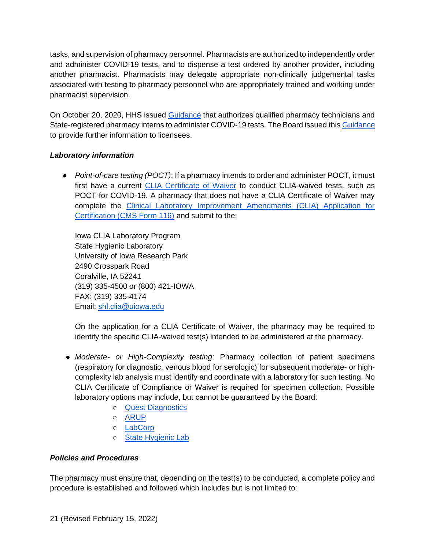tasks, and supervision of pharmacy personnel. Pharmacists are authorized to independently order and administer COVID-19 tests, and to dispense a test ordered by another provider, including another pharmacist. Pharmacists may delegate appropriate non-clinically judgemental tasks associated with testing to pharmacy personnel who are appropriately trained and working under pharmacist supervision.

On October 20, 2020, HHS issued [Guidance](https://www.hhs.gov/sites/default/files/prep-act-guidance.pdf) that authorizes qualified pharmacy technicians and State-registered pharmacy interns to administer COVID-19 tests. The Board issued this [Guidance](https://pharmacy.iowa.gov/press-release/2020-11-03/board-pharmacy-response-hhs-guidance-related-administration-immunizations) to provide further information to licensees.

### *Laboratory information*

● *Point-of-care testing (POCT)*: If a pharmacy intends to order and administer POCT, it must first have a current [CLIA Certificate of Waiver](https://www.cms.gov/Regulations-and-Guidance/Legislation/CLIA/downloads/HowObtainCertificateofWaiver.pdf) to conduct CLIA-waived tests, such as POCT for COVID-19. A pharmacy that does not have a CLIA Certificate of Waiver may complete the [Clinical Laboratory Improvement Amendments \(CLIA\) Application for](https://www.cms.gov/Medicare/CMS-Forms/CMS-Forms/Downloads/CMS116.pdf)  [Certification \(CMS Form 116\)](https://www.cms.gov/Medicare/CMS-Forms/CMS-Forms/Downloads/CMS116.pdf) and submit to the:

Iowa CLIA Laboratory Program State Hygienic Laboratory University of Iowa Research Park 2490 Crosspark Road Coralville, IA 52241 (319) 335-4500 or (800) 421-IOWA FAX: (319) 335-4174 Email: [shl.clia@uiowa.edu](mailto:shl.clia@uiowa.edu)

On the application for a CLIA Certificate of Waiver, the pharmacy may be required to identify the specific CLIA-waived test(s) intended to be administered at the pharmacy.

- *Moderate- or High-Complexity testing*: Pharmacy collection of patient specimens (respiratory for diagnostic, venous blood for serologic) for subsequent moderate- or highcomplexity lab analysis must identify and coordinate with a laboratory for such testing. No CLIA Certificate of Compliance or Waiver is required for specimen collection. Possible laboratory options may include, but cannot be guaranteed by the Board:
	- [Quest Diagnostics](https://www.questdiagnostics.com/home/Covid-19/HCP/)
	- [ARUP](https://www.aruplab.com/news/3-10-2020/coronavirus-testing)
	- [LabCorp](https://www.labcorp.com/coronavirus-disease-covid-19/provider-information)
	- o [State Hygienic Lab](https://covidtesting.shl.uiowa.edu/)

### *Policies and Procedures*

The pharmacy must ensure that, depending on the test(s) to be conducted, a complete policy and procedure is established and followed which includes but is not limited to: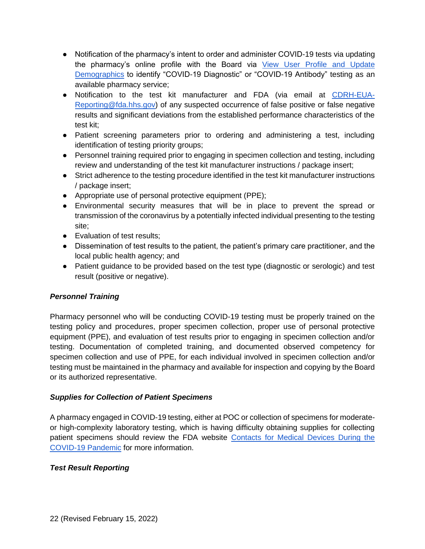- Notification of the pharmacy's intent to order and administer COVID-19 tests via updating the pharmacy's online profile with the Board via View User Profile and Update [Demographics](https://pharmacy.iowa.gov/online-services/view-user-profile-and-update-demographics) to identify "COVID-19 Diagnostic" or "COVID-19 Antibody" testing as an available pharmacy service;
- Notification to the test kit manufacturer and FDA (via email at [CDRH-EUA-](mailto:CDRH-EUA-Reporting@fda.hhs.gov)[Reporting@fda.hhs.gov\)](mailto:CDRH-EUA-Reporting@fda.hhs.gov) of any suspected occurrence of false positive or false negative results and significant deviations from the established performance characteristics of the test kit;
- Patient screening parameters prior to ordering and administering a test, including identification of testing priority groups;
- Personnel training required prior to engaging in specimen collection and testing, including review and understanding of the test kit manufacturer instructions / package insert;
- Strict adherence to the testing procedure identified in the test kit manufacturer instructions / package insert;
- Appropriate use of personal protective equipment (PPE);
- Environmental security measures that will be in place to prevent the spread or transmission of the coronavirus by a potentially infected individual presenting to the testing site;
- Evaluation of test results:
- Dissemination of test results to the patient, the patient's primary care practitioner, and the local public health agency; and
- Patient guidance to be provided based on the test type (diagnostic or serologic) and test result (positive or negative).

### *Personnel Training*

Pharmacy personnel who will be conducting COVID-19 testing must be properly trained on the testing policy and procedures, proper specimen collection, proper use of personal protective equipment (PPE), and evaluation of test results prior to engaging in specimen collection and/or testing. Documentation of completed training, and documented observed competency for specimen collection and use of PPE, for each individual involved in specimen collection and/or testing must be maintained in the pharmacy and available for inspection and copying by the Board or its authorized representative.

### *Supplies for Collection of Patient Specimens*

A pharmacy engaged in COVID-19 testing, either at POC or collection of specimens for moderateor high-complexity laboratory testing, which is having difficulty obtaining supplies for collecting patient specimens should review the FDA website [Contacts for Medical Devices During the](https://www.fda.gov/medical-devices/emergency-situations-medical-devices/contacts-medical-devices-during-covid-19-pandemic?utm_campaign=071620_PR_Coronavirus%20%28COVID-19%29%20Update%3A%20Daily%20Roundup%20July16%2C%202020&utm_medium=email&utm_source=Eloqua)  [COVID-19 Pandemic](https://www.fda.gov/medical-devices/emergency-situations-medical-devices/contacts-medical-devices-during-covid-19-pandemic?utm_campaign=071620_PR_Coronavirus%20%28COVID-19%29%20Update%3A%20Daily%20Roundup%20July16%2C%202020&utm_medium=email&utm_source=Eloqua) for more information.

### *Test Result Reporting*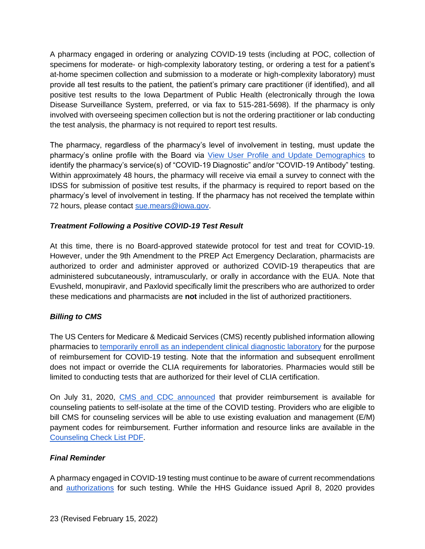A pharmacy engaged in ordering or analyzing COVID-19 tests (including at POC, collection of specimens for moderate- or high-complexity laboratory testing, or ordering a test for a patient's at-home specimen collection and submission to a moderate or high-complexity laboratory) must provide all test results to the patient, the patient's primary care practitioner (if identified), and all positive test results to the Iowa Department of Public Health (electronically through the Iowa Disease Surveillance System, preferred, or via fax to 515-281-5698). If the pharmacy is only involved with overseeing specimen collection but is not the ordering practitioner or lab conducting the test analysis, the pharmacy is not required to report test results.

The pharmacy, regardless of the pharmacy's level of involvement in testing, must update the pharmacy's online profile with the Board via [View User Profile and Update Demographics](https://pharmacy.iowa.gov/online-services/view-user-profile-and-update-demographics) to identify the pharmacy's service(s) of "COVID-19 Diagnostic" and/or "COVID-19 Antibody" testing. Within approximately 48 hours, the pharmacy will receive via email a survey to connect with the IDSS for submission of positive test results, if the pharmacy is required to report based on the pharmacy's level of involvement in testing. If the pharmacy has not received the template within 72 hours, please contact [sue.mears@iowa.gov.](mailto:sue.mears@iowa.gov)

### *Treatment Following a Positive COVID-19 Test Result*

At this time, there is no Board-approved statewide protocol for test and treat for COVID-19. However, under the 9th Amendment to the PREP Act Emergency Declaration, pharmacists are authorized to order and administer approved or authorized COVID-19 therapeutics that are administered subcutaneously, intramuscularly, or orally in accordance with the EUA. Note that Evusheld, monupiravir, and Paxlovid specifically limit the prescribers who are authorized to order these medications and pharmacists are **not** included in the list of authorized practitioners.

# *Billing to CMS*

The US Centers for Medicare & Medicaid Services (CMS) recently published information allowing pharmacies to [temporarily enroll as an independent clinical diagnostic laboratory](https://www.cms.gov/files/document/se20017.pdf) for the purpose of reimbursement for COVID-19 testing. Note that the information and subsequent enrollment does not impact or override the CLIA requirements for laboratories. Pharmacies would still be limited to conducting tests that are authorized for their level of CLIA certification.

On July 31, 2020, [CMS and CDC announced](https://www.cms.gov/newsroom/press-releases/cms-and-cdc-announce-provider-reimbursement-available-counseling-patients-self-isolate-time-covid-19) that provider reimbursement is available for counseling patients to self-isolate at the time of the COVID testing. Providers who are eligible to bill CMS for counseling services will be able to use existing evaluation and management (E/M) payment codes for reimbursement. Further information and resource links are available in the [Counseling Check List](https://www.cms.gov/files/document/counseling-checklist.pdf) [PDF.](https://www.cms.gov/files/document/counseling-checklist.pdf)

### *Final Reminder*

A pharmacy engaged in COVID-19 testing must continue to be aware of current recommendations and **authorizations** for such testing. While the HHS Guidance issued April 8, 2020 provides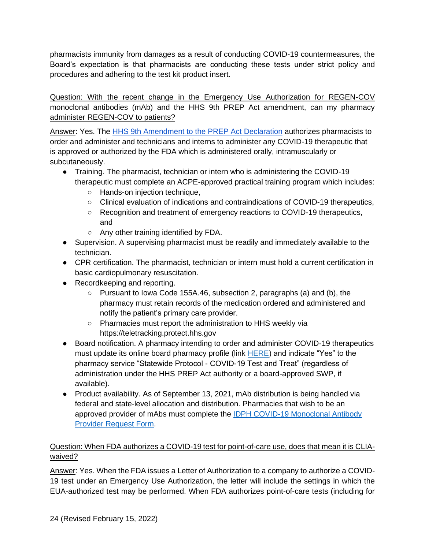pharmacists immunity from damages as a result of conducting COVID-19 countermeasures, the Board's expectation is that pharmacists are conducting these tests under strict policy and procedures and adhering to the test kit product insert.

<span id="page-23-0"></span>Question: With the recent change in the Emergency Use Authorization for REGEN-COV monoclonal antibodies (mAb) and the HHS 9th PREP Act amendment, can my pharmacy administer REGEN-COV to patients?

Answer: Yes. The [HHS 9th Amendment to the PREP Act Declaration](https://www.phe.gov/Preparedness/legal/prepact/Pages/PREPact-NinethAmendment.aspx) authorizes pharmacists to order and administer and technicians and interns to administer any COVID-19 therapeutic that is approved or authorized by the FDA which is administered orally, intramuscularly or subcutaneously.

- Training. The pharmacist, technician or intern who is administering the COVID-19 therapeutic must complete an ACPE-approved practical training program which includes:
	- Hands-on injection technique,
	- Clinical evaluation of indications and contraindications of COVID-19 therapeutics,
	- Recognition and treatment of emergency reactions to COVID-19 therapeutics, and
	- Any other training identified by FDA.
- Supervision. A supervising pharmacist must be readily and immediately available to the technician.
- CPR certification. The pharmacist, technician or intern must hold a current certification in basic cardiopulmonary resuscitation.
- Recordkeeping and reporting.
	- Pursuant to Iowa Code 155A.46, subsection 2, paragraphs (a) and (b), the pharmacy must retain records of the medication ordered and administered and notify the patient's primary care provider.
	- Pharmacies must report the administration to HHS weekly via https://teletracking.protect.hhs.gov
- Board notification. A pharmacy intending to order and administer COVID-19 therapeutics must update its online board pharmacy profile (link  $HERE$ ) and indicate "Yes" to the pharmacy service "Statewide Protocol - COVID-19 Test and Treat" (regardless of administration under the HHS PREP Act authority or a board-approved SWP, if available).
- Product availability. As of September 13, 2021, mAb distribution is being handled via federal and state-level allocation and distribution. Pharmacies that wish to be an approved provider of mAbs must complete the **IDPH COVID-19 Monoclonal Antibody** [Provider Request Form.](https://www.cognitoforms.com/IowaDepartmentOfPublicHealth1/COVID19MonoclonalAntibodyProviderRequestForm?v2)

# <span id="page-23-1"></span>Question: When FDA authorizes a COVID-19 test for point-of-care use, does that mean it is CLIAwaived?

Answer: Yes. When the FDA issues a Letter of Authorization to a company to authorize a COVID-19 test under an Emergency Use Authorization, the letter will include the settings in which the EUA-authorized test may be performed. When FDA authorizes point-of-care tests (including for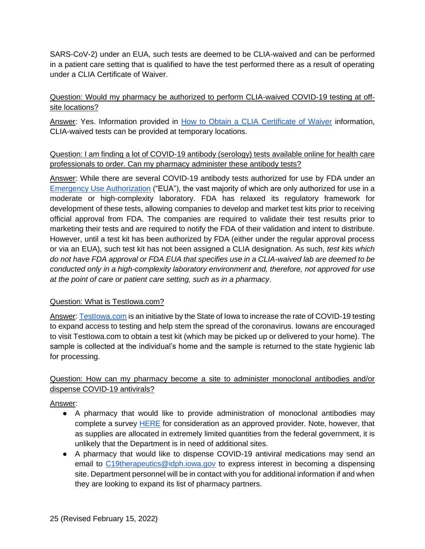SARS-CoV-2) under an EUA, such tests are deemed to be CLIA-waived and can be performed in a patient care setting that is qualified to have the test performed there as a result of operating under a CLIA Certificate of Waiver.

## <span id="page-24-0"></span>Question: Would my pharmacy be authorized to perform CLIA-waived COVID-19 testing at offsite locations?

Answer: Yes. Information provided in [How to Obtain a CLIA Certificate of Waiver](https://www.cms.gov/Regulations-and-Guidance/Legislation/CLIA/downloads/HowObtainCertificateofWaiver.pdf) information, CLIA-waived tests can be provided at temporary locations.

### <span id="page-24-1"></span>Question: I am finding a lot of COVID-19 antibody (serology) tests available online for health care professionals to order. Can my pharmacy administer these antibody tests?

Answer: While there are several COVID-19 antibody tests authorized for use by FDA under an [Emergency Use Authorization](https://www.fda.gov/medical-devices/coronavirus-disease-2019-covid-19-emergency-use-authorizations-medical-devices/vitro-diagnostics-euas) ("EUA"), the vast majority of which are only authorized for use in a moderate or high-complexity laboratory. FDA has relaxed its regulatory framework for development of these tests, allowing companies to develop and market test kits prior to receiving official approval from FDA. The companies are required to validate their test results prior to marketing their tests and are required to notify the FDA of their validation and intent to distribute. However, until a test kit has been authorized by FDA (either under the regular approval process or via an EUA), such test kit has not been assigned a CLIA designation. As such, *test kits which do not have FDA approval or FDA EUA that specifies use in a CLIA-waived lab are deemed to be conducted only in a high-complexity laboratory environment and, therefore, not approved for use at the point of care or patient care setting, such as in a pharmacy*.

### <span id="page-24-2"></span>Question: What is TestIowa.com?

Answer: Testlowa.com is an initiative by the State of Iowa to increase the rate of COVID-19 testing to expand access to testing and help stem the spread of the coronavirus. Iowans are encouraged to visit TestIowa.com to obtain a test kit (which may be picked up or delivered to your home). The sample is collected at the individual's home and the sample is returned to the state hygienic lab for processing.

## <span id="page-24-3"></span>Question: How can my pharmacy become a site to administer monoclonal antibodies and/or dispense COVID-19 antivirals?

# Answer:

- A pharmacy that would like to provide administration of monoclonal antibodies may complete a survey [HERE](https://www.cognitoforms.com/IowaDepartmentOfPublicHealth1/COVID19MonoclonalAntibodyProviderRequestForm?v2) for consideration as an approved provider. Note, however, that as supplies are allocated in extremely limited quantities from the federal government, it is unlikely that the Department is in need of additional sites.
- A pharmacy that would like to dispense COVID-19 antiviral medications may send an email to [C19therapeutics@idph.iowa.gov](mailto:C19therapeutics@idph.iowa.gov) to express interest in becoming a dispensing site. Department personnel will be in contact with you for additional information if and when they are looking to expand its list of pharmacy partners.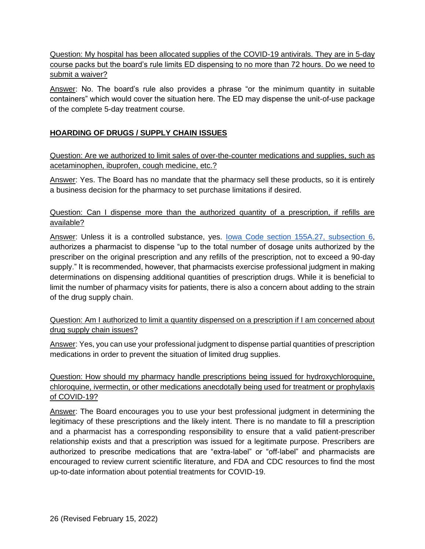<span id="page-25-0"></span>Question: My hospital has been allocated supplies of the COVID-19 antivirals. They are in 5-day course packs but the board's rule limits ED dispensing to no more than 72 hours. Do we need to submit a waiver?

Answer: No. The board's rule also provides a phrase "or the minimum quantity in suitable containers" which would cover the situation here. The ED may dispense the unit-of-use package of the complete 5-day treatment course.

## <span id="page-25-1"></span>**HOARDING OF DRUGS / SUPPLY CHAIN ISSUES**

<span id="page-25-2"></span>Question: Are we authorized to limit sales of over-the-counter medications and supplies, such as acetaminophen, ibuprofen, cough medicine, etc.?

Answer: Yes. The Board has no mandate that the pharmacy sell these products, so it is entirely a business decision for the pharmacy to set purchase limitations if desired.

#### <span id="page-25-3"></span>Question: Can I dispense more than the authorized quantity of a prescription, if refills are available?

Answer: Unless it is a controlled substance, yes. [Iowa Code section 155A.27, subsection 6,](https://www.legis.iowa.gov/docs/code/155a.27.pdf) authorizes a pharmacist to dispense "up to the total number of dosage units authorized by the prescriber on the original prescription and any refills of the prescription, not to exceed a 90-day supply." It is recommended, however, that pharmacists exercise professional judgment in making determinations on dispensing additional quantities of prescription drugs. While it is beneficial to limit the number of pharmacy visits for patients, there is also a concern about adding to the strain of the drug supply chain.

### <span id="page-25-4"></span>Question: Am I authorized to limit a quantity dispensed on a prescription if I am concerned about drug supply chain issues?

Answer: Yes, you can use your professional judgment to dispense partial quantities of prescription medications in order to prevent the situation of limited drug supplies.

## <span id="page-25-5"></span>Question: How should my pharmacy handle prescriptions being issued for hydroxychloroquine, chloroquine, ivermectin, or other medications anecdotally being used for treatment or prophylaxis of COVID-19?

Answer: The Board encourages you to use your best professional judgment in determining the legitimacy of these prescriptions and the likely intent. There is no mandate to fill a prescription and a pharmacist has a corresponding responsibility to ensure that a valid patient-prescriber relationship exists and that a prescription was issued for a legitimate purpose. Prescribers are authorized to prescribe medications that are "extra-label" or "off-label" and pharmacists are encouraged to review current scientific literature, and FDA and CDC resources to find the most up-to-date information about potential treatments for COVID-19.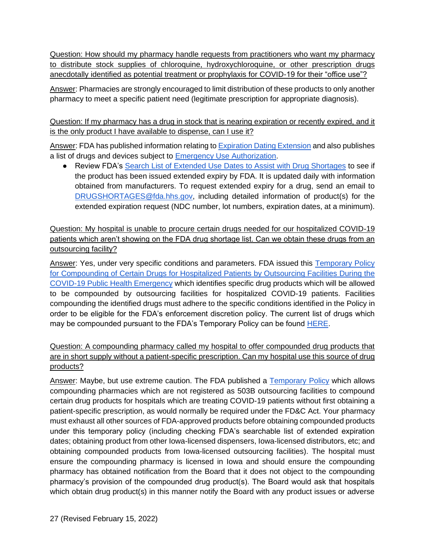<span id="page-26-0"></span>Question: How should my pharmacy handle requests from practitioners who want my pharmacy to distribute stock supplies of chloroquine, hydroxychloroquine, or other prescription drugs anecdotally identified as potential treatment or prophylaxis for COVID-19 for their "office use"?

Answer: Pharmacies are strongly encouraged to limit distribution of these products to only another pharmacy to meet a specific patient need (legitimate prescription for appropriate diagnosis).

<span id="page-26-1"></span>Question: If my pharmacy has a drug in stock that is nearing expiration or recently expired, and it is the only product I have available to dispense, can I use it?

Answer: FDA has published information relating to **Expiration Dating Extension** and also publishes a list of drugs and devices subject to [Emergency Use Authorization.](https://www.fda.gov/emergency-preparedness-and-response/mcm-legal-regulatory-and-policy-framework/emergency-use-authorization#2019-ncov)

● Review FDA's [Search List of Extended Use Dates to Assist with Drug Shortages](https://www.fda.gov/drugs/drug-shortages/search-list-extended-use-dates-assist-drug-shortages) to see if the product has been issued extended expiry by FDA. It is updated daily with information obtained from manufacturers. To request extended expiry for a drug, send an email to [DRUGSHORTAGES@fda.hhs.gov,](mailto:DRUGSHORTAGES@fda.hhs.gov) including detailed information of product(s) for the extended expiration request (NDC number, lot numbers, expiration dates, at a minimum).

<span id="page-26-2"></span>Question: My hospital is unable to procure certain drugs needed for our hospitalized COVID-19 patients which aren't showing on the FDA drug shortage list. Can we obtain these drugs from an outsourcing facility?

Answer: Yes, under very specific conditions and parameters. FDA issued this [Temporary Policy](https://www.fda.gov/media/137031/download)  [for Compounding of Certain Drugs for Hospitalized Patients by Outsourcing Facilities During the](https://www.fda.gov/media/137031/download)  [COVID-19 Public Health Emergency](https://www.fda.gov/media/137031/download) which identifies specific drug products which will be allowed to be compounded by outsourcing facilities for hospitalized COVID-19 patients. Facilities compounding the identified drugs must adhere to the specific conditions identified in the Policy in order to be eligible for the FDA's enforcement discretion policy. The current list of drugs which may be compounded pursuant to the FDA's Temporary Policy can be found **HERE**.

<span id="page-26-3"></span>Question: A compounding pharmacy called my hospital to offer compounded drug products that are in short supply without a patient-specific prescription. Can my hospital use this source of drug products?

Answer: Maybe, but use extreme caution. The FDA published a [Temporary Policy](https://www.fda.gov/regulatory-information/search-fda-guidance-documents/temporary-policy-compounding-certain-drugs-hospitalized-patients-pharmacy-compounders-not-registered) which allows compounding pharmacies which are not registered as 503B outsourcing facilities to compound certain drug products for hospitals which are treating COVID-19 patients without first obtaining a patient-specific prescription, as would normally be required under the FD&C Act. Your pharmacy must exhaust all other sources of FDA-approved products before obtaining compounded products under this temporary policy (including checking FDA's searchable list of extended expiration dates; obtaining product from other Iowa-licensed dispensers, Iowa-licensed distributors, etc; and obtaining compounded products from Iowa-licensed outsourcing facilities). The hospital must ensure the compounding pharmacy is licensed in Iowa and should ensure the compounding pharmacy has obtained notification from the Board that it does not object to the compounding pharmacy's provision of the compounded drug product(s). The Board would ask that hospitals which obtain drug product(s) in this manner notify the Board with any product issues or adverse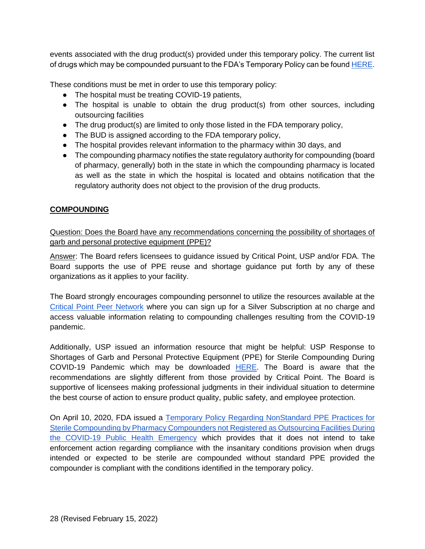events associated with the drug product(s) provided under this temporary policy. The current list of drugs which may be compounded pursuant to the FDA's Temporary Policy can be found [HERE.](https://www.fda.gov/media/138279/download)

These conditions must be met in order to use this temporary policy:

- The hospital must be treating COVID-19 patients,
- The hospital is unable to obtain the drug product(s) from other sources, including outsourcing facilities
- The drug product(s) are limited to only those listed in the FDA temporary policy,
- The BUD is assigned according to the FDA temporary policy,
- The hospital provides relevant information to the pharmacy within 30 days, and
- The compounding pharmacy notifies the state regulatory authority for compounding (board of pharmacy, generally) both in the state in which the compounding pharmacy is located as well as the state in which the hospital is located and obtains notification that the regulatory authority does not object to the provision of the drug products.

### <span id="page-27-0"></span>**COMPOUNDING**

<span id="page-27-1"></span>Question: Does the Board have any recommendations concerning the possibility of shortages of garb and personal protective equipment (PPE)?

Answer: The Board refers licensees to guidance issued by Critical Point, USP and/or FDA. The Board supports the use of PPE reuse and shortage guidance put forth by any of these organizations as it applies to your facility.

The Board strongly encourages compounding personnel to utilize the resources available at the [Critical Point Peer Network](https://peernetwork.criticalpoint.info/) where you can sign up for a Silver Subscription at no charge and access valuable information relating to compounding challenges resulting from the COVID-19 pandemic.

Additionally, USP issued an information resource that might be helpful: USP Response to Shortages of Garb and Personal Protective Equipment (PPE) for Sterile Compounding During COVID-19 Pandemic which may be downloaded [HERE.](https://www.usp.org/covid-19/essential-services) The Board is aware that the recommendations are slightly different from those provided by Critical Point. The Board is supportive of licensees making professional judgments in their individual situation to determine the best course of action to ensure product quality, public safety, and employee protection.

On April 10, 2020, FDA issued a [Temporary Policy Regarding NonStandard PPE Practices for](https://www.fda.gov/media/136841/download)  [Sterile Compounding by Pharmacy Compounders](https://www.fda.gov/media/136841/download) not Registered as Outsourcing Facilities During [the COVID-19 Public Health Emergency](https://www.fda.gov/media/136841/download) which provides that it does not intend to take enforcement action regarding compliance with the insanitary conditions provision when drugs intended or expected to be sterile are compounded without standard PPE provided the compounder is compliant with the conditions identified in the temporary policy.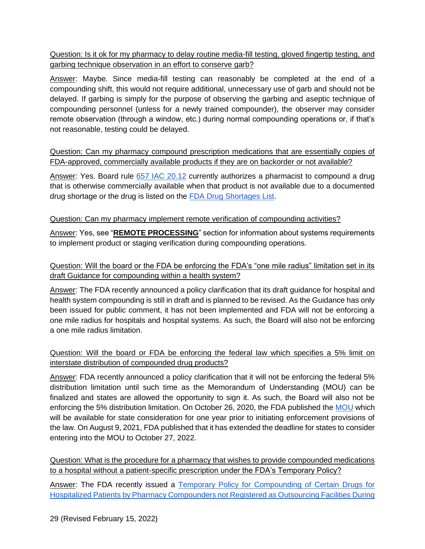<span id="page-28-0"></span>Question: Is it ok for my pharmacy to delay routine media-fill testing, gloved fingertip testing, and garbing technique observation in an effort to conserve garb?

Answer: Maybe. Since media-fill testing can reasonably be completed at the end of a compounding shift, this would not require additional, unnecessary use of garb and should not be delayed. If garbing is simply for the purpose of observing the garbing and aseptic technique of compounding personnel (unless for a newly trained compounder), the observer may consider remote observation (through a window, etc.) during normal compounding operations or, if that's not reasonable, testing could be delayed.

<span id="page-28-1"></span>Question: Can my pharmacy compound prescription medications that are essentially copies of FDA-approved, commercially available products if they are on backorder or not available?

Answer: Yes. Board rule [657 IAC 20.12](https://www.legis.iowa.gov/docs/iac/rule/05-22-2019.657.20.12.pdf) currently authorizes a pharmacist to compound a drug that is otherwise commercially available when that product is not available due to a documented drug shortage or the drug is listed on the [FDA Drug Shortages List.](https://www.accessdata.fda.gov/scripts/drugshortages/default.cfm)

## <span id="page-28-2"></span>Question: Can my pharmacy implement remote verification of compounding activities?

Answer: Yes, see "**REMOTE PROCESSING**" section for information about systems requirements to implement product or staging verification during compounding operations.

## <span id="page-28-3"></span>Question: Will the board or the FDA be enforcing the FDA's "one mile radius" limitation set in its draft Guidance for compounding within a health system?

Answer: The FDA recently announced a policy clarification that its draft guidance for hospital and health system compounding is still in draft and is planned to be revised. As the Guidance has only been issued for public comment, it has not been implemented and FDA will not be enforcing a one mile radius for hospitals and hospital systems. As such, the Board will also not be enforcing a one mile radius limitation.

## <span id="page-28-4"></span>Question: Will the board or FDA be enforcing the federal law which specifies a 5% limit on interstate distribution of compounded drug products?

Answer: FDA recently announced a policy clarification that it will not be enforcing the federal 5% distribution limitation until such time as the Memorandum of Understanding (MOU) can be finalized and states are allowed the opportunity to sign it. As such, the Board will also not be enforcing the 5% distribution limitation. On October 26, 2020, the FDA published the [MOU](https://www.fda.gov/media/143283/download) which will be available for state consideration for one year prior to initiating enforcement provisions of the law. On August 9, 2021, FDA published that it has extended the deadline for states to consider entering into the MOU to October 27, 2022.

<span id="page-28-5"></span>Question: What is the procedure for a pharmacy that wishes to provide compounded medications to a hospital without a patient-specific prescription under the FDA's Temporary Policy?

Answer: The FDA recently issued a Temporary Policy for Compounding of Certain Drugs for [Hospitalized Patients by Pharmacy Compounders not Registered as Outsourcing Facilities During](https://www.fda.gov/media/137125/download)